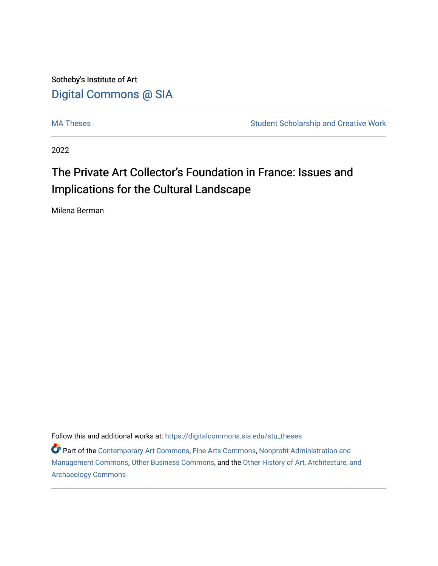Sotheby's Institute of Art [Digital Commons @ SIA](https://digitalcommons.sia.edu/) 

[MA Theses](https://digitalcommons.sia.edu/stu_theses) **Student Scholarship and Creative Work** Student Scholarship and Creative Work

2022

# The Private Art Collector's Foundation in France: Issues and Implications for the Cultural Landscape

Milena Berman

Follow this and additional works at: [https://digitalcommons.sia.edu/stu\\_theses](https://digitalcommons.sia.edu/stu_theses?utm_source=digitalcommons.sia.edu%2Fstu_theses%2F126&utm_medium=PDF&utm_campaign=PDFCoverPages)

Part of the [Contemporary Art Commons,](https://network.bepress.com/hgg/discipline/514?utm_source=digitalcommons.sia.edu%2Fstu_theses%2F126&utm_medium=PDF&utm_campaign=PDFCoverPages) [Fine Arts Commons,](https://network.bepress.com/hgg/discipline/1141?utm_source=digitalcommons.sia.edu%2Fstu_theses%2F126&utm_medium=PDF&utm_campaign=PDFCoverPages) [Nonprofit Administration and](https://network.bepress.com/hgg/discipline/1228?utm_source=digitalcommons.sia.edu%2Fstu_theses%2F126&utm_medium=PDF&utm_campaign=PDFCoverPages)  [Management Commons](https://network.bepress.com/hgg/discipline/1228?utm_source=digitalcommons.sia.edu%2Fstu_theses%2F126&utm_medium=PDF&utm_campaign=PDFCoverPages), [Other Business Commons,](https://network.bepress.com/hgg/discipline/647?utm_source=digitalcommons.sia.edu%2Fstu_theses%2F126&utm_medium=PDF&utm_campaign=PDFCoverPages) and the [Other History of Art, Architecture, and](https://network.bepress.com/hgg/discipline/517?utm_source=digitalcommons.sia.edu%2Fstu_theses%2F126&utm_medium=PDF&utm_campaign=PDFCoverPages)  [Archaeology Commons](https://network.bepress.com/hgg/discipline/517?utm_source=digitalcommons.sia.edu%2Fstu_theses%2F126&utm_medium=PDF&utm_campaign=PDFCoverPages)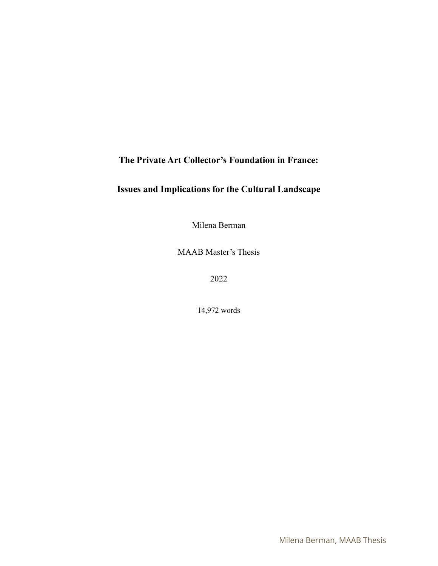# **The Private Art Collector's Foundation in France:**

# **Issues and Implications for the Cultural Landscape**

Milena Berman

MAAB Master's Thesis

2022

14,972 words

Milena Berman, MAAB Thesis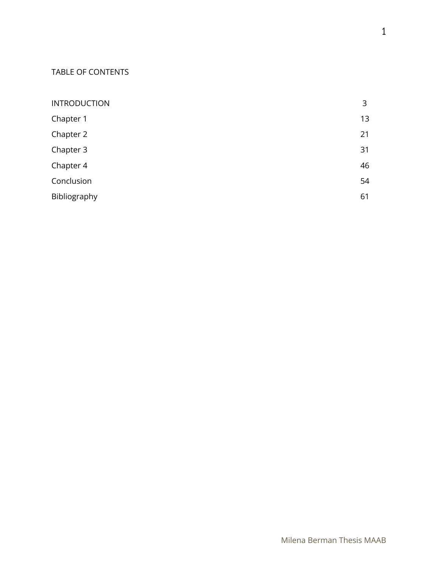### TABLE OF CONTENTS

| <b>INTRODUCTION</b> | 3  |
|---------------------|----|
| Chapter 1           | 13 |
| Chapter 2           | 21 |
| Chapter 3           | 31 |
| Chapter 4           | 46 |
| Conclusion          | 54 |
| Bibliography        | 61 |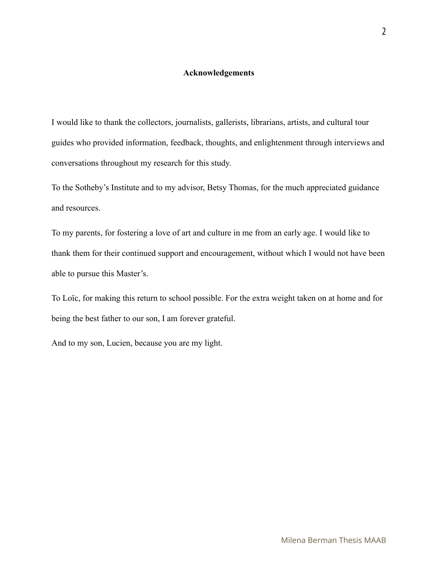#### **Acknowledgements**

I would like to thank the collectors, journalists, gallerists, librarians, artists, and cultural tour guides who provided information, feedback, thoughts, and enlightenment through interviews and conversations throughout my research for this study.

To the Sotheby's Institute and to my advisor, Betsy Thomas, for the much appreciated guidance and resources.

To my parents, for fostering a love of art and culture in me from an early age. I would like to thank them for their continued support and encouragement, without which I would not have been able to pursue this Master's.

To Loïc, for making this return to school possible. For the extra weight taken on at home and for being the best father to our son, I am forever grateful.

And to my son, Lucien, because you are my light.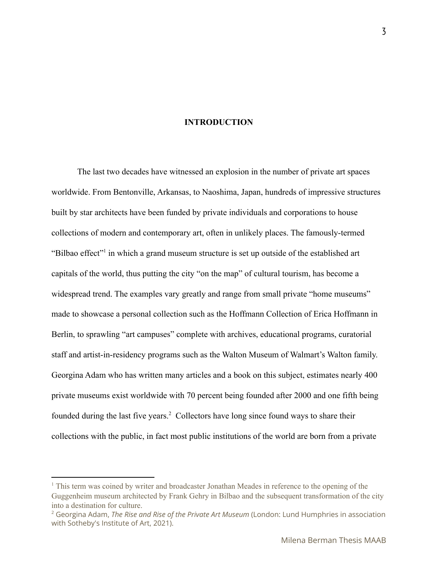### **INTRODUCTION**

The last two decades have witnessed an explosion in the number of private art spaces worldwide. From Bentonville, Arkansas, to Naoshima, Japan, hundreds of impressive structures built by star architects have been funded by private individuals and corporations to house collections of modern and contemporary art, often in unlikely places. The famously-termed "Bilbao effect" in which a grand museum structure is set up outside of the established art capitals of the world, thus putting the city "on the map" of cultural tourism, has become a widespread trend. The examples vary greatly and range from small private "home museums" made to showcase a personal collection such as the Hoffmann Collection of Erica Hoffmann in Berlin, to sprawling "art campuses" complete with archives, educational programs, curatorial staff and artist-in-residency programs such as the Walton Museum of Walmart's Walton family. Georgina Adam who has written many articles and a book on this subject, estimates nearly 400 private museums exist worldwide with 70 percent being founded after 2000 and one fifth being founded during the last five years.<sup>2</sup> Collectors have long since found ways to share their collections with the public, in fact most public institutions of the world are born from a private

<sup>&</sup>lt;sup>1</sup> This term was coined by writer and broadcaster Jonathan Meades in reference to the opening of the Guggenheim museum architected by Frank Gehry in Bilbao and the subsequent transformation of the city into a destination for culture.

<sup>2</sup> Georgina Adam, *The Rise and Rise of the Private Art Museum* (London: Lund Humphries in association with Sotheby's Institute of Art, 2021).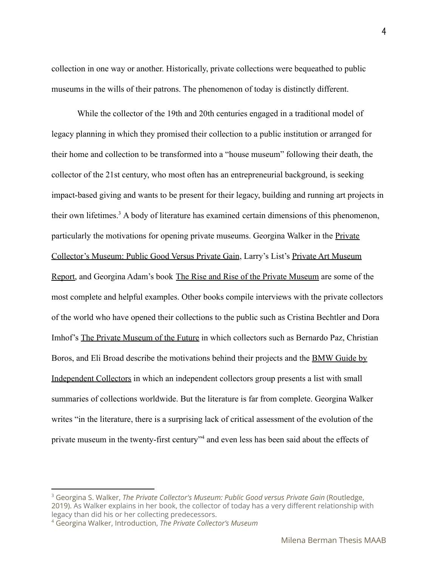collection in one way or another. Historically, private collections were bequeathed to public museums in the wills of their patrons. The phenomenon of today is distinctly different.

While the collector of the 19th and 20th centuries engaged in a traditional model of legacy planning in which they promised their collection to a public institution or arranged for their home and collection to be transformed into a "house museum" following their death, the collector of the 21st century, who most often has an entrepreneurial background, is seeking impact-based giving and wants to be present for their legacy, building and running art projects in their own lifetimes.<sup>3</sup> A body of literature has examined certain dimensions of this phenomenon, particularly the motivations for opening private museums. Georgina Walker in the Private Collector's Museum: Public Good Versus Private Gain, Larry's List's Private Art Museum Report, and Georgina Adam's book The Rise and Rise of the Private Museum are some of the most complete and helpful examples. Other books compile interviews with the private collectors of the world who have opened their collections to the public such as Cristina Bechtler and Dora Imhof's The Private Museum of the Future in which collectors such as Bernardo Paz, Christian Boros, and Eli Broad describe the motivations behind their projects and the BMW Guide by Independent Collectors in which an independent collectors group presents a list with small summaries of collections worldwide. But the literature is far from complete. Georgina Walker writes "in the literature, there is a surprising lack of critical assessment of the evolution of the private museum in the twenty-first century<sup>34</sup> and even less has been said about the effects of

4

<sup>3</sup> Georgina S. Walker, *The Private Collector's Museum: Public Good versus Private Gain* (Routledge, 2019). As Walker explains in her book, the collector of today has a very different relationship with legacy than did his or her collecting predecessors.

<sup>4</sup> Georgina Walker, Introduction, *The Private Collector's Museum*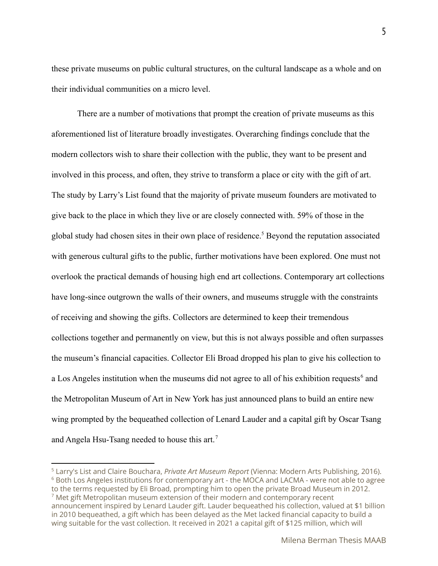these private museums on public cultural structures, on the cultural landscape as a whole and on their individual communities on a micro level.

There are a number of motivations that prompt the creation of private museums as this aforementioned list of literature broadly investigates. Overarching findings conclude that the modern collectors wish to share their collection with the public, they want to be present and involved in this process, and often, they strive to transform a place or city with the gift of art. The study by Larry's List found that the majority of private museum founders are motivated to give back to the place in which they live or are closely connected with. 59% of those in the global study had chosen sites in their own place of residence.<sup>5</sup> Beyond the reputation associated with generous cultural gifts to the public, further motivations have been explored. One must not overlook the practical demands of housing high end art collections. Contemporary art collections have long-since outgrown the walls of their owners, and museums struggle with the constraints of receiving and showing the gifts. Collectors are determined to keep their tremendous collections together and permanently on view, but this is not always possible and often surpasses the museum's financial capacities. Collector Eli Broad dropped his plan to give his collection to a Los Angeles institution when the museums did not agree to all of his exhibition requests<sup> $6$ </sup> and the Metropolitan Museum of Art in New York has just announced plans to build an entire new wing prompted by the bequeathed collection of Lenard Lauder and a capital gift by Oscar Tsang and Angela Hsu-Tsang needed to house this art.<sup>7</sup>

 $7$  Met gift Metropolitan museum extension of their modern and contemporary recent announcement inspired by Lenard Lauder gift. Lauder bequeathed his collection, valued at \$1 billion in 2010 bequeathed, a gift which has been delayed as the Met lacked financial capacity to build a wing suitable for the vast collection. It received in 2021 a capital gift of \$125 million, which will  $6$  Both Los Angeles institutions for contemporary art - the MOCA and LACMA - were not able to agree to the terms requested by Eli Broad, prompting him to open the private Broad Museum in 2012. <sup>5</sup> Larry's List and Claire Bouchara, *Private Art Museum Report* (Vienna: Modern Arts Publishing, 2016).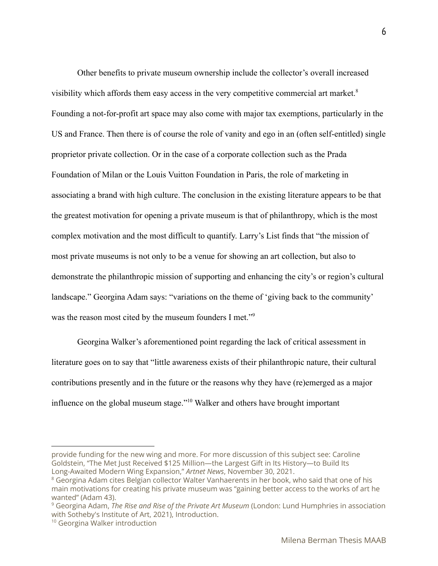Other benefits to private museum ownership include the collector's overall increased visibility which affords them easy access in the very competitive commercial art market.<sup>8</sup> Founding a not-for-profit art space may also come with major tax exemptions, particularly in the US and France. Then there is of course the role of vanity and ego in an (often self-entitled) single proprietor private collection. Or in the case of a corporate collection such as the Prada Foundation of Milan or the Louis Vuitton Foundation in Paris, the role of marketing in associating a brand with high culture. The conclusion in the existing literature appears to be that the greatest motivation for opening a private museum is that of philanthropy, which is the most complex motivation and the most difficult to quantify. Larry's List finds that "the mission of most private museums is not only to be a venue for showing an art collection, but also to demonstrate the philanthropic mission of supporting and enhancing the city's or region's cultural landscape." Georgina Adam says: "variations on the theme of 'giving back to the community' was the reason most cited by the museum founders I met."<sup>9</sup>

Georgina Walker's aforementioned point regarding the lack of critical assessment in literature goes on to say that "little awareness exists of their philanthropic nature, their cultural contributions presently and in the future or the reasons why they have (re)emerged as a major influence on the global museum stage."<sup> $10$ </sup> Walker and others have brought important

provide funding for the new wing and more. For more discussion of this subject see: Caroline Goldstein, "The Met Just Received \$125 Million—the Largest Gift in Its History—to Build Its Long-Awaited Modern Wing Expansion," *Artnet News*, November 30, 2021.

<sup>&</sup>lt;sup>8</sup> Georgina Adam cites Belgian collector Walter Vanhaerents in her book, who said that one of his main motivations for creating his private museum was "gaining better access to the works of art he wanted" (Adam 43).

<sup>9</sup> Georgina Adam, *The Rise and Rise of the Private Art Museum* (London: Lund Humphries in association with Sotheby's Institute of Art, 2021), Introduction.

<sup>&</sup>lt;sup>10</sup> Georgina Walker introduction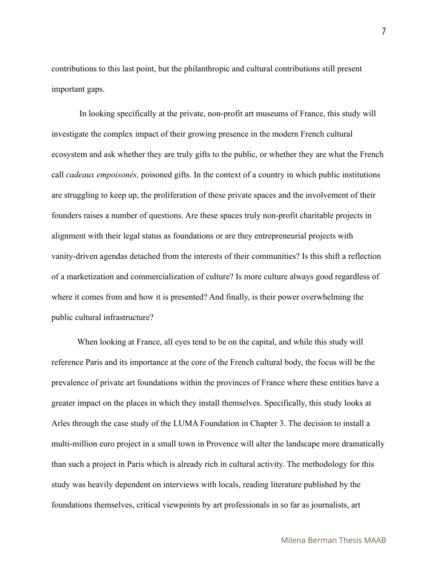contributions to this last point, but the philanthropic and cultural contributions still present important gaps.

In looking specifically at the private, non-profit art museums of France, this study will investigate the complex impact of their growing presence in the modern French cultural ecosystem and ask whether they are truly gifts to the public, or whether they are what the French call *cadeaux empoisonés,* poisoned gifts. In the context of a country in which public institutions are struggling to keep up, the proliferation of these private spaces and the involvement of their founders raises a number of questions. Are these spaces truly non-profit charitable projects in alignment with their legal status as foundations or are they entrepreneurial projects with vanity-driven agendas detached from the interests of their communities? Is this shift a reflection of a marketization and commercialization of culture? Is more culture always good regardless of where it comes from and how it is presented? And finally, is their power overwhelming the public cultural infrastructure?

When looking at France, all eyes tend to be on the capital, and while this study will reference Paris and its importance at the core of the French cultural body, the focus will be the prevalence of private art foundations within the provinces of France where these entities have a greater impact on the places in which they install themselves. Specifically, this study looks at Arles through the case study of the LUMA Foundation in Chapter 3. The decision to install a multi-million euro project in a small town in Provence will alter the landscape more dramatically than such a project in Paris which is already rich in cultural activity. The methodology for this study was heavily dependent on interviews with locals, reading literature published by the foundations themselves, critical viewpoints by art professionals in so far as journalists, art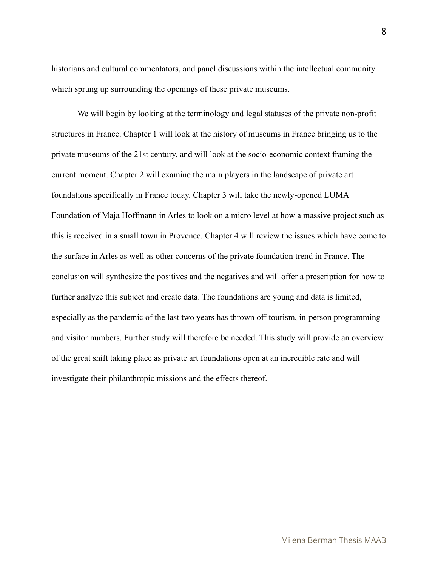historians and cultural commentators, and panel discussions within the intellectual community which sprung up surrounding the openings of these private museums.

We will begin by looking at the terminology and legal statuses of the private non-profit structures in France. Chapter 1 will look at the history of museums in France bringing us to the private museums of the 21st century, and will look at the socio-economic context framing the current moment. Chapter 2 will examine the main players in the landscape of private art foundations specifically in France today. Chapter 3 will take the newly-opened LUMA Foundation of Maja Hoffmann in Arles to look on a micro level at how a massive project such as this is received in a small town in Provence. Chapter 4 will review the issues which have come to the surface in Arles as well as other concerns of the private foundation trend in France. The conclusion will synthesize the positives and the negatives and will offer a prescription for how to further analyze this subject and create data. The foundations are young and data is limited, especially as the pandemic of the last two years has thrown off tourism, in-person programming and visitor numbers. Further study will therefore be needed. This study will provide an overview of the great shift taking place as private art foundations open at an incredible rate and will investigate their philanthropic missions and the effects thereof.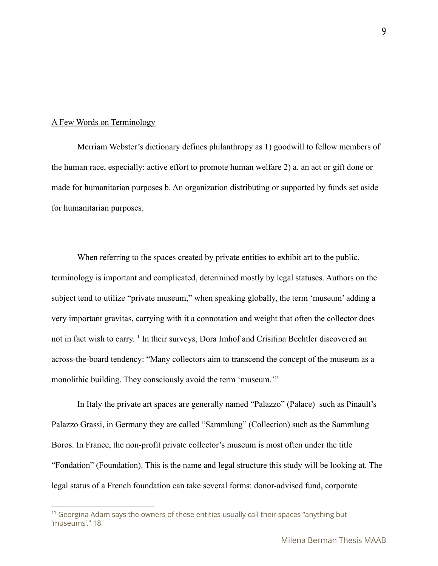#### A Few Words on Terminology

Merriam Webster's dictionary defines philanthropy as 1) goodwill to fellow members of the human race, especially: active effort to promote human welfare 2) a. an act or gift done or made for humanitarian purposes b. An organization distributing or supported by funds set aside for humanitarian purposes.

When referring to the spaces created by private entities to exhibit art to the public, terminology is important and complicated, determined mostly by legal statuses. Authors on the subject tend to utilize "private museum," when speaking globally, the term 'museum' adding a very important gravitas, carrying with it a connotation and weight that often the collector does not in fact wish to carry.<sup>11</sup> In their surveys, Dora Imhof and Crisitina Bechtler discovered an across-the-board tendency: "Many collectors aim to transcend the concept of the museum as a monolithic building. They consciously avoid the term 'museum.'"

In Italy the private art spaces are generally named "Palazzo" (Palace) such as Pinault's Palazzo Grassi, in Germany they are called "Sammlung" (Collection) such as the Sammlung Boros. In France, the non-profit private collector's museum is most often under the title "Fondation" (Foundation). This is the name and legal structure this study will be looking at. The legal status of a French foundation can take several forms: donor-advised fund, corporate

 $11$  Georgina Adam says the owners of these entities usually call their spaces "anything but 'museums'." 18.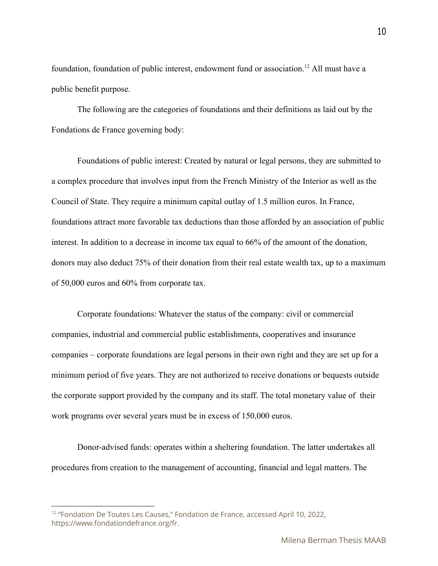foundation, foundation of public interest, endowment fund or association.<sup>12</sup> All must have a public benefit purpose.

The following are the categories of foundations and their definitions as laid out by the Fondations de France governing body:

Foundations of public interest: Created by natural or legal persons, they are submitted to a complex procedure that involves input from the French Ministry of the Interior as well as the Council of State. They require a minimum capital outlay of 1.5 million euros. In France, foundations attract more favorable tax deductions than those afforded by an association of public interest. In addition to a decrease in income tax equal to 66% of the amount of the donation, donors may also deduct 75% of their donation from their real estate wealth tax, up to a maximum of 50,000 euros and 60% from corporate tax.

Corporate foundations: Whatever the status of the company: civil or commercial companies, industrial and commercial public establishments, cooperatives and insurance companies – corporate foundations are legal persons in their own right and they are set up for a minimum period of five years. They are not authorized to receive donations or bequests outside the corporate support provided by the company and its staff. The total monetary value of their work programs over several years must be in excess of 150,000 euros.

Donor-advised funds: operates within a sheltering foundation. The latter undertakes all procedures from creation to the management of accounting, financial and legal matters. The

<sup>&</sup>lt;sup>12</sup> "Fondation De Toutes Les Causes," Fondation de France, accessed April 10, 2022, https://www.fondationdefrance.org/fr.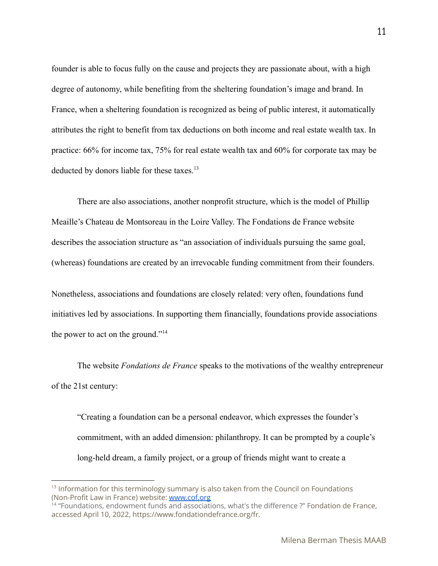founder is able to focus fully on the cause and projects they are passionate about, with a high degree of autonomy, while benefiting from the sheltering foundation's image and brand. In France, when a sheltering foundation is recognized as being of public interest, it automatically attributes the right to benefit from tax deductions on both income and real estate wealth tax. In practice: 66% for income tax, 75% for real estate wealth tax and 60% for corporate tax may be deducted by donors liable for these taxes.<sup>13</sup>

There are also associations, another nonprofit structure, which is the model of Phillip Meaille's Chateau de Montsoreau in the Loire Valley. The Fondations de France website describes the association structure as "an association of individuals pursuing the same goal, (whereas) foundations are created by an irrevocable funding commitment from their founders.

Nonetheless, associations and foundations are closely related: very often, foundations fund initiatives led by associations. In supporting them financially, foundations provide associations the power to act on the ground."<sup>14</sup>

The website *Fondations de France* speaks to the motivations of the wealthy entrepreneur of the 21st century:

"Creating a foundation can be a personal endeavor, which expresses the founder's commitment, with an added dimension: philanthropy. It can be prompted by a couple's long-held dream, a family project, or a group of friends might want to create a

 $13$  Information for this terminology summary is also taken from the Council on Foundations (Non-Profit Law in France) website: [www.cof.org](http://www.cof.org)

<sup>&</sup>lt;sup>14</sup> "Foundations, endowment funds and associations, what's the difference ?" Fondation de France, accessed April 10, 2022, https://www.fondationdefrance.org/fr.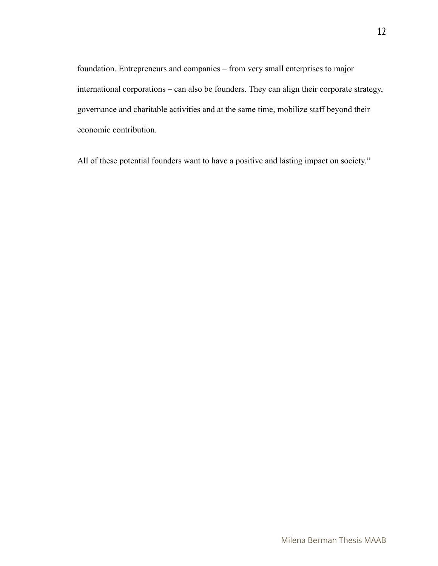foundation. Entrepreneurs and companies – from very small enterprises to major international corporations – can also be founders. They can align their corporate strategy, governance and charitable activities and at the same time, mobilize staff beyond their economic contribution.

All of these potential founders want to have a positive and lasting impact on society."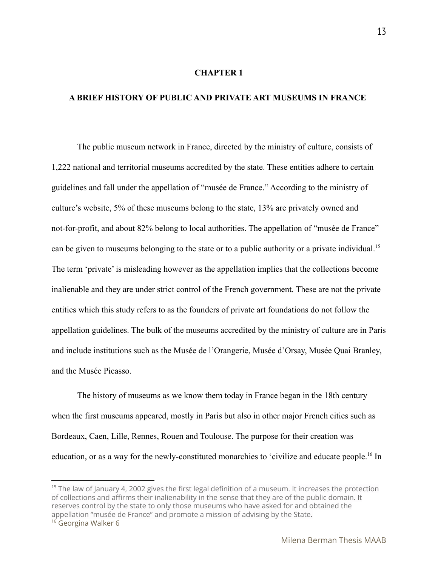#### **CHAPTER 1**

#### **A BRIEF HISTORY OF PUBLIC AND PRIVATE ART MUSEUMS IN FRANCE**

The public museum network in France, directed by the ministry of culture, consists of 1,222 national and territorial museums accredited by the state. These entities adhere to certain guidelines and fall under the appellation of "musée de France." According to the ministry of culture's website, 5% of these museums belong to the state, 13% are privately owned and not-for-profit, and about 82% belong to local authorities. The appellation of "musée de France" can be given to museums belonging to the state or to a public authority or a private individual.<sup>15</sup> The term 'private' is misleading however as the appellation implies that the collections become inalienable and they are under strict control of the French government. These are not the private entities which this study refers to as the founders of private art foundations do not follow the appellation guidelines. The bulk of the museums accredited by the ministry of culture are in Paris and include institutions such as the Musée de l'Orangerie, Musée d'Orsay, Musée Quai Branley, and the Musée Picasso.

The history of museums as we know them today in France began in the 18th century when the first museums appeared, mostly in Paris but also in other major French cities such as Bordeaux, Caen, Lille, Rennes, Rouen and Toulouse. The purpose for their creation was education, or as a way for the newly-constituted monarchies to 'civilize and educate people.<sup>16</sup> In

 $15$  The law of January 4, 2002 gives the first legal definition of a museum. It increases the protection of collections and affirms their inalienability in the sense that they are of the public domain. It reserves control by the state to only those museums who have asked for and obtained the appellation "musée de France" and promote a mission of advising by the State.

<sup>&</sup>lt;sup>16</sup> Georgina Walker 6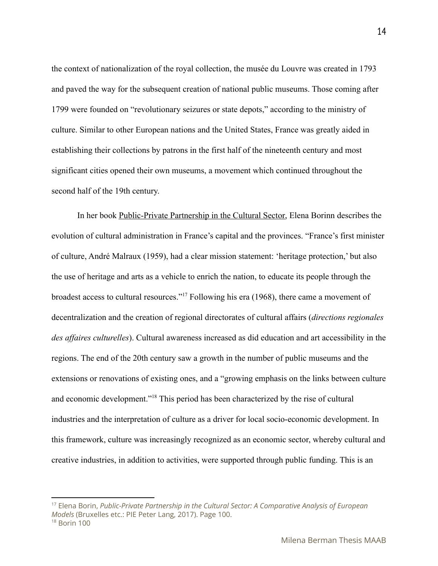the context of nationalization of the royal collection, the musée du Louvre was created in 1793 and paved the way for the subsequent creation of national public museums. Those coming after 1799 were founded on "revolutionary seizures or state depots," according to the ministry of culture. Similar to other European nations and the United States, France was greatly aided in establishing their collections by patrons in the first half of the nineteenth century and most significant cities opened their own museums, a movement which continued throughout the second half of the 19th century.

In her book Public-Private Partnership in the Cultural Sector, Elena Borinn describes the evolution of cultural administration in France's capital and the provinces. "France's first minister of culture, André Malraux (1959), had a clear mission statement: 'heritage protection,' but also the use of heritage and arts as a vehicle to enrich the nation, to educate its people through the broadest access to cultural resources."<sup>17</sup> Following his era (1968), there came a movement of decentralization and the creation of regional directorates of cultural affairs (*directions regionales des affaires culturelles*). Cultural awareness increased as did education and art accessibility in the regions. The end of the 20th century saw a growth in the number of public museums and the extensions or renovations of existing ones, and a "growing emphasis on the links between culture and economic development."<sup>18</sup> This period has been characterized by the rise of cultural industries and the interpretation of culture as a driver for local socio-economic development. In this framework, culture was increasingly recognized as an economic sector, whereby cultural and creative industries, in addition to activities, were supported through public funding. This is an

<sup>17</sup> Elena Borin, *Public-Private Partnership in the Cultural Sector: A Comparative Analysis of European Models* (Bruxelles etc.: PIE Peter Lang, 2017). Page 100.

<sup>18</sup> Borin 100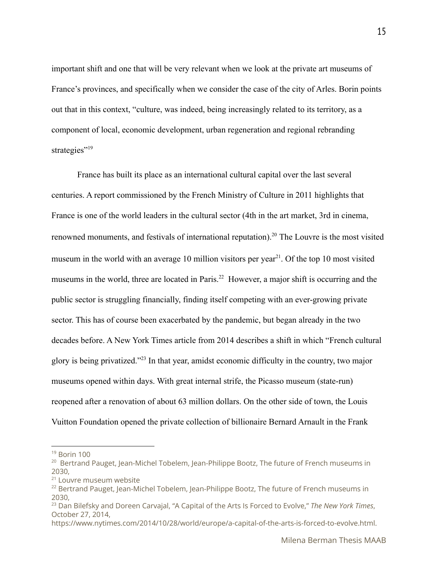important shift and one that will be very relevant when we look at the private art museums of France's provinces, and specifically when we consider the case of the city of Arles. Borin points out that in this context, "culture, was indeed, being increasingly related to its territory, as a component of local, economic development, urban regeneration and regional rebranding strategies"<sup>19</sup>

France has built its place as an international cultural capital over the last several centuries. A report commissioned by the French Ministry of Culture in 2011 highlights that France is one of the world leaders in the cultural sector (4th in the art market, 3rd in cinema, renowned monuments, and festivals of international reputation).<sup>20</sup> The Louvre is the most visited museum in the world with an average 10 million visitors per year<sup>21</sup>. Of the top 10 most visited museums in the world, three are located in Paris.<sup>22</sup> However, a major shift is occurring and the public sector is struggling financially, finding itself competing with an ever-growing private sector. This has of course been exacerbated by the pandemic, but began already in the two decades before. A New York Times article from 2014 describes a shift in which "French cultural glory is being privatized."<sup> $23$ </sup> In that year, amidst economic difficulty in the country, two major museums opened within days. With great internal strife, the Picasso museum (state-run) reopened after a renovation of about 63 million dollars. On the other side of town, the Louis Vuitton Foundation opened the private collection of billionaire Bernard Arnault in the Frank

 $19$  Borin 100

<sup>&</sup>lt;sup>20</sup> Bertrand Pauget, Jean-Michel Tobelem, Jean-Philippe Bootz, The future of French museums in 2030,

<sup>&</sup>lt;sup>21</sup> Louvre museum website

 $22$  Bertrand Pauget, Jean-Michel Tobelem, Jean-Philippe Bootz, The future of French museums in 2030,

<sup>23</sup> Dan Bilefsky and Doreen Carvajal, "A Capital of the Arts Is Forced to Evolve," *The New York Times*, October 27, 2014,

https://www.nytimes.com/2014/10/28/world/europe/a-capital-of-the-arts-is-forced-to-evolve.html.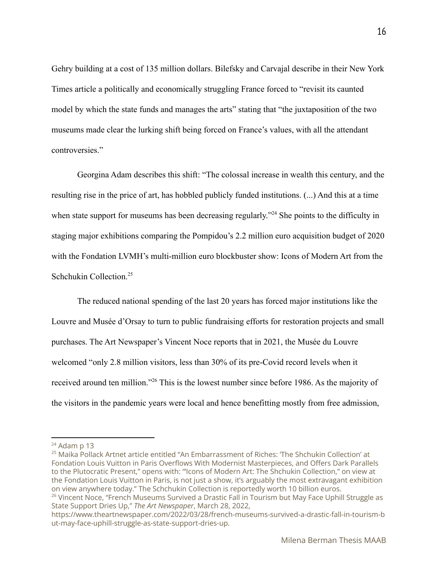Gehry building at a cost of 135 million dollars. Bilefsky and Carvajal describe in their New York Times article a politically and economically struggling France forced to "revisit its caunted model by which the state funds and manages the arts" stating that "the juxtaposition of the two museums made clear the lurking shift being forced on France's values, with all the attendant controversies."

Georgina Adam describes this shift: "The colossal increase in wealth this century, and the resulting rise in the price of art, has hobbled publicly funded institutions. (...) And this at a time when state support for museums has been decreasing regularly."<sup>24</sup> She points to the difficulty in staging major exhibitions comparing the Pompidou's 2.2 million euro acquisition budget of 2020 with the Fondation LVMH's multi-million euro blockbuster show: Icons of Modern Art from the Schchukin Collection.<sup>25</sup>

The reduced national spending of the last 20 years has forced major institutions like the Louvre and Musée d'Orsay to turn to public fundraising efforts for restoration projects and small purchases. The Art Newspaper's Vincent Noce reports that in 2021, the Musée du Louvre welcomed "only 2.8 million visitors, less than 30% of its pre-Covid record levels when it received around ten million."<sup>26</sup> This is the lowest number since before 1986. As the majority of the visitors in the pandemic years were local and hence benefitting mostly from free admission,

 $25$  Maika Pollack Artnet article entitled "An Embarrassment of Riches: 'The Shchukin Collection' at Fondation Louis Vuitton in Paris Overflows With Modernist Masterpieces, and Offers Dark Parallels to the Plutocratic Present," opens with: "'Icons of Modern Art: The Shchukin Collection," on view at the Fondation Louis Vuitton in Paris, is not just a show, it's arguably the most extravagant exhibition on view anywhere today." The Schchukin Collection is reportedly worth 10 billion euros.

 $24$  Adam p 13

<sup>&</sup>lt;sup>26</sup> Vincent Noce, "French Museums Survived a Drastic Fall in Tourism but May Face Uphill Struggle as State Support Dries Up," *The Art Newspaper*, March 28, 2022,

https://www.theartnewspaper.com/2022/03/28/french-museums-survived-a-drastic-fall-in-tourism-b ut-may-face-uphill-struggle-as-state-support-dries-up.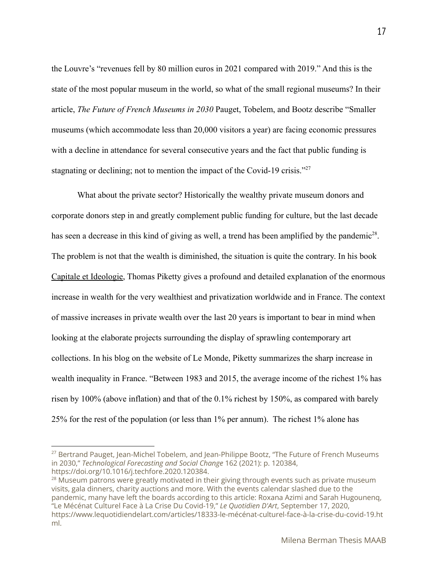the Louvre's "revenues fell by 80 million euros in 2021 compared with 2019." And this is the state of the most popular museum in the world, so what of the small regional museums? In their article, *The Future of French Museums in 2030* Pauget, Tobelem, and Bootz describe "Smaller museums (which accommodate less than 20,000 visitors a year) are facing economic pressures with a decline in attendance for several consecutive years and the fact that public funding is stagnating or declining; not to mention the impact of the Covid-19 crisis."<sup>27</sup>

What about the private sector? Historically the wealthy private museum donors and corporate donors step in and greatly complement public funding for culture, but the last decade has seen a decrease in this kind of giving as well, a trend has been amplified by the pandemic<sup>28</sup>. The problem is not that the wealth is diminished, the situation is quite the contrary. In his book Capitale et Ideologie, Thomas Piketty gives a profound and detailed explanation of the enormous increase in wealth for the very wealthiest and privatization worldwide and in France. The context of massive increases in private wealth over the last 20 years is important to bear in mind when looking at the elaborate projects surrounding the display of sprawling contemporary art collections. In his blog on the website of Le Monde, Piketty summarizes the sharp increase in wealth inequality in France. "Between 1983 and 2015, the average income of the richest 1% has risen by 100% (above inflation) and that of the 0.1% richest by 150%, as compared with barely 25% for the rest of the population (or less than 1% per annum). The richest 1% alone has

<sup>&</sup>lt;sup>27</sup> Bertrand Pauget, Jean-Michel Tobelem, and Jean-Philippe Bootz, "The Future of French Museums in 2030," *Technological Forecasting and Social Change* 162 (2021): p. 120384, https://doi.org/10.1016/j.techfore.2020.120384.

 $28$  Museum patrons were greatly motivated in their giving through events such as private museum visits, gala dinners, charity auctions and more. With the events calendar slashed due to the pandemic, many have left the boards according to this article: Roxana Azimi and Sarah Hugounenq, "Le Mécénat Culturel Face à La Crise Du Covid-19," *Le Quotidien D'Art*, September 17, 2020, https://www.lequotidiendelart.com/articles/18333-le-mécénat-culturel-face-à-la-crise-du-covid-19.ht ml.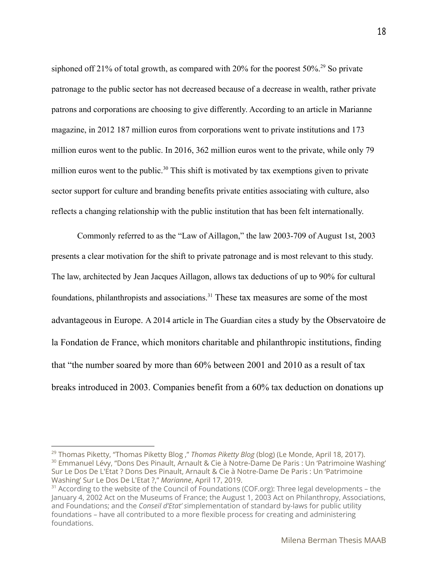siphoned off 21% of total growth, as compared with 20% for the poorest  $50\%$ <sup>29</sup> So private patronage to the public sector has not decreased because of a decrease in wealth, rather private patrons and corporations are choosing to give differently. According to an article in Marianne magazine, in 2012 187 million euros from corporations went to private institutions and 173 million euros went to the public. In 2016, 362 million euros went to the private, while only 79 million euros went to the public.<sup>30</sup> This shift is motivated by tax exemptions given to private sector support for culture and branding benefits private entities associating with culture, also reflects a changing relationship with the public institution that has been felt internationally.

Commonly referred to as the "Law of Aillagon," the law 2003-709 of August 1st, 2003 presents a clear motivation for the shift to private patronage and is most relevant to this study. The law, architected by Jean Jacques Aillagon, allows tax deductions of up to 90% for cultural foundations, philanthropists and associations.<sup>31</sup> These tax measures are some of the most advantageous in Europe. A 2014 article in The Guardian cites a study by the [Observatoire](http://www.fondationdefrance.org/) de la [Fondation](http://www.fondationdefrance.org/) de France, which monitors charitable and philanthropic institutions, finding that "the number soared by more than 60% between 2001 and 2010 as a result of tax breaks introduced in 2003. Companies benefit from a 60% tax deduction on donations up

<sup>&</sup>lt;sup>30</sup> Emmanuel Lévy, "Dons Des Pinault, Arnault & Cie à Notre-Dame De Paris : Un 'Patrimoine Washing' Sur Le Dos De L'Etat ? Dons Des Pinault, Arnault & Cie à Notre-Dame De Paris : Un 'Patrimoine Washing' Sur Le Dos De L'Etat ?," *Marianne*, April 17, 2019. <sup>29</sup> Thomas Piketty, "Thomas Piketty Blog ," *Thomas Piketty Blog* (blog) (Le Monde, April 18, 2017).

 $31$  According to the website of the Council of Foundations (COF.org): Three legal developments – the January 4, 2002 Act on the Museums of France; the August 1, 2003 Act on Philanthropy, Associations, and Foundations; and the *Conseil d'Etat' s*implementation of standard by-laws for public utility foundations – have all contributed to a more flexible process for creating and administering foundations.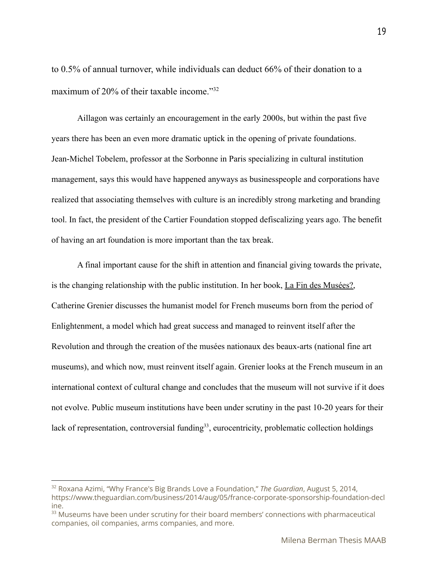to 0.5% of annual turnover, while individuals can deduct 66% of their donation to a maximum of 20% of their taxable income." 32

Aillagon was certainly an encouragement in the early 2000s, but within the past five years there has been an even more dramatic uptick in the opening of private foundations. Jean-Michel Tobelem, professor at the Sorbonne in Paris specializing in cultural institution management, says this would have happened anyways as businesspeople and corporations have realized that associating themselves with culture is an incredibly strong marketing and branding tool. In fact, the president of the Cartier Foundation stopped defiscalizing years ago. The benefit of having an art foundation is more important than the tax break.

A final important cause for the shift in attention and financial giving towards the private, is the changing relationship with the public institution. In her book, La Fin des Musées?, Catherine Grenier discusses the humanist model for French museums born from the period of Enlightenment, a model which had great success and managed to reinvent itself after the Revolution and through the creation of the musées nationaux des beaux-arts (national fine art museums), and which now, must reinvent itself again. Grenier looks at the French museum in an international context of cultural change and concludes that the museum will not survive if it does not evolve. Public museum institutions have been under scrutiny in the past 10-20 years for their lack of representation, controversial funding<sup>33</sup>, eurocentricity, problematic collection holdings

19

<sup>32</sup> Roxana Azimi, "Why France's Big Brands Love a Foundation," *The Guardian*, August 5, 2014, https://www.theguardian.com/business/2014/aug/05/france-corporate-sponsorship-foundation-decl ine.

<sup>&</sup>lt;sup>33</sup> Museums have been under scrutiny for their board members' connections with pharmaceutical companies, oil companies, arms companies, and more.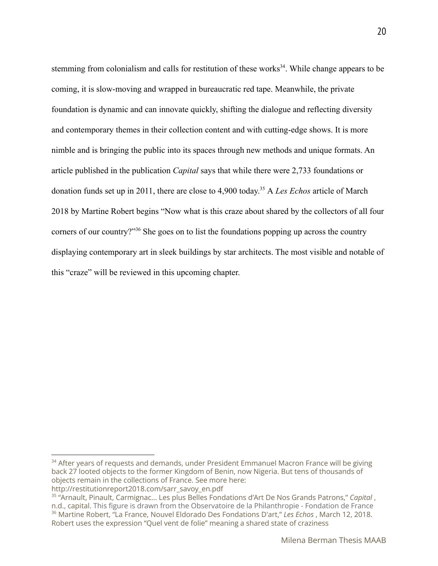stemming from colonialism and calls for restitution of these works<sup>34</sup>. While change appears to be coming, it is slow-moving and wrapped in bureaucratic red tape. Meanwhile, the private foundation is dynamic and can innovate quickly, shifting the dialogue and reflecting diversity and contemporary themes in their collection content and with cutting-edge shows. It is more nimble and is bringing the public into its spaces through new methods and unique formats. An article published in the publication *Capital* says that while there were 2,733 foundations or donation funds set up in 2011, there are close to 4,900 today.<sup>35</sup> A *Les Echos* article of March 2018 by Martine Robert begins "Now what is this craze about shared by the collectors of all four corners of our country?"  $36$  She goes on to list the foundations popping up across the country displaying contemporary art in sleek buildings by star architects. The most visible and notable of this "craze" will be reviewed in this upcoming chapter.

<sup>&</sup>lt;sup>34</sup> After years of requests and demands, under President Emmanuel Macron France will be giving back 27 looted objects to the former Kingdom of Benin, now Nigeria. But tens of thousands of objects remain in the collections of France. See more here: http://restitutionreport2018.com/sarr\_savoy\_en.pdf

<sup>36</sup> Martine Robert, "La France, Nouvel Eldorado Des Fondations D'art," *Les Echos* , March 12, 2018. Robert uses the expression "Quel vent de folie" meaning a shared state of craziness 35 "Arnault, Pinault, Carmignac... Les plus Belles Fondations d'Art De Nos Grands Patrons," *Capital* , n.d., capital. This figure is drawn from the Observatoire de la Philanthropie - Fondation de France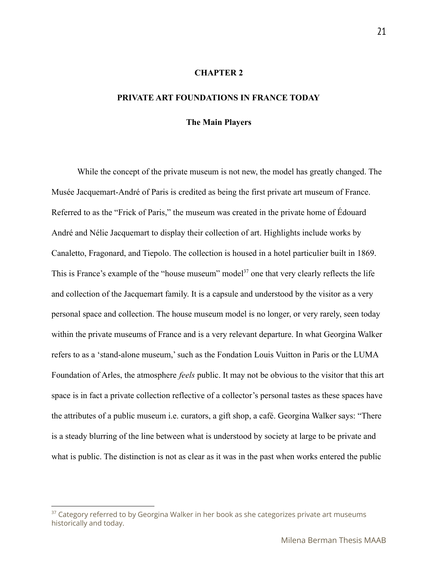#### **CHAPTER 2**

#### **PRIVATE ART FOUNDATIONS IN FRANCE TODAY**

#### **The Main Players**

While the concept of the private museum is not new, the model has greatly changed. The Musée Jacquemart-André of Paris is credited as being the first private art museum of France. Referred to as the "Frick of Paris," the museum was created in the private home of Édouard André and Nélie Jacquemart to display their collection of art. Highlights include works by Canaletto, Fragonard, and Tiepolo. The collection is housed in a hotel particulier built in 1869. This is France's example of the "house museum" model<sup> $37$ </sup> one that very clearly reflects the life and collection of the Jacquemart family. It is a capsule and understood by the visitor as a very personal space and collection. The house museum model is no longer, or very rarely, seen today within the private museums of France and is a very relevant departure. In what Georgina Walker refers to as a 'stand-alone museum,' such as the Fondation Louis Vuitton in Paris or the LUMA Foundation of Arles, the atmosphere *feels* public. It may not be obvious to the visitor that this art space is in fact a private collection reflective of a collector's personal tastes as these spaces have the attributes of a public museum i.e. curators, a gift shop, a café. Georgina Walker says: "There is a steady blurring of the line between what is understood by society at large to be private and what is public. The distinction is not as clear as it was in the past when works entered the public

 $37$  Category referred to by Georgina Walker in her book as she categorizes private art museums historically and today.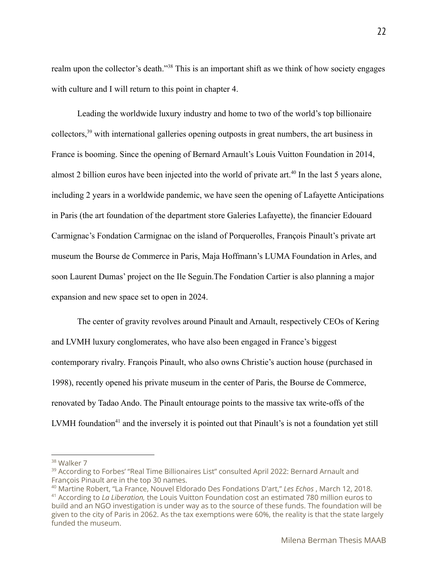realm upon the collector's death."<sup>38</sup> This is an important shift as we think of how society engages with culture and I will return to this point in chapter 4.

Leading the worldwide luxury industry and home to two of the world's top billionaire collectors,  $39$  with international galleries opening outposts in great numbers, the art business in France is booming. Since the opening of Bernard Arnault's Louis Vuitton Foundation in 2014, almost 2 billion euros have been injected into the world of private art.<sup> $40$ </sup> In the last 5 years alone, including 2 years in a worldwide pandemic, we have seen the opening of Lafayette Anticipations in Paris (the art foundation of the department store Galeries Lafayette), the financier Edouard Carmignac's Fondation Carmignac on the island of Porquerolles, François Pinault's private art museum the Bourse de Commerce in Paris, Maja Hoffmann's LUMA Foundation in Arles, and soon Laurent Dumas' project on the Ile Seguin.The Fondation Cartier is also planning a major expansion and new space set to open in 2024.

The center of gravity revolves around Pinault and Arnault, respectively CEOs of Kering and LVMH luxury conglomerates, who have also been engaged in France's biggest contemporary rivalry. François Pinault, who also owns Christie's auction house (purchased in 1998), recently opened his private museum in the center of Paris, the Bourse de Commerce, renovated by Tadao Ando. The Pinault entourage points to the massive tax write-offs of the LVMH foundation<sup>41</sup> and the inversely it is pointed out that Pinault's is not a foundation yet still

<sup>&</sup>lt;sup>38</sup> Walker 7

<sup>&</sup>lt;sup>39</sup> According to Forbes' "Real Time Billionaires List" consulted April 2022: Bernard Arnault and François Pinault are in the top 30 names.

<sup>40</sup> Martine Robert, "La France, Nouvel Eldorado Des Fondations D'art," *Les Echos* , March 12, 2018.

<sup>41</sup> According to *La Liberation,* the Louis Vuitton Foundation cost an estimated 780 million euros to build and an NGO investigation is under way as to the source of these funds. The foundation will be given to the city of Paris in 2062. As the tax exemptions were 60%, the reality is that the state largely funded the museum.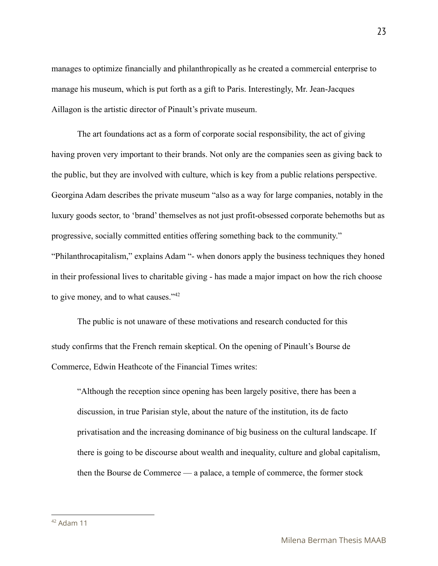manages to optimize financially and philanthropically as he created a commercial enterprise to manage his museum, which is put forth as a gift to Paris. Interestingly, Mr. Jean-Jacques Aillagon is the artistic director of Pinault's private museum.

The art foundations act as a form of corporate social responsibility, the act of giving having proven very important to their brands. Not only are the companies seen as giving back to the public, but they are involved with culture, which is key from a public relations perspective. Georgina Adam describes the private museum "also as a way for large companies, notably in the luxury goods sector, to 'brand' themselves as not just profit-obsessed corporate behemoths but as progressive, socially committed entities offering something back to the community." "Philanthrocapitalism," explains Adam "- when donors apply the business techniques they honed in their professional lives to charitable giving - has made a major impact on how the rich choose to give money, and to what causes."<sup>42</sup>

The public is not unaware of these motivations and research conducted for this study confirms that the French remain skeptical. On the opening of Pinault's Bourse de Commerce, Edwin Heathcote of the Financial Times writes:

"Although the reception since opening has been largely positive, there has been a discussion, in true Parisian style, about the nature of the institution, its de facto privatisation and the increasing dominance of big business on the cultural landscape. If there is going to be discourse about wealth and inequality, culture and global capitalism, then the Bourse de Commerce — a palace, a temple of commerce, the former stock

<sup>23</sup>

 $42$  Adam 11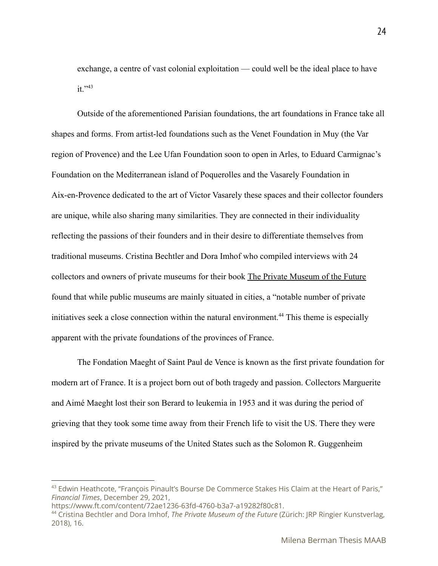exchange, a centre of vast colonial exploitation — could well be the ideal place to have  $it$ .  $^{343}$ 

Outside of the aforementioned Parisian foundations, the art foundations in France take all shapes and forms. From artist-led foundations such as the Venet Foundation in Muy (the Var region of Provence) and the Lee Ufan Foundation soon to open in Arles, to Eduard Carmignac's Foundation on the Mediterranean island of Poquerolles and the Vasarely Foundation in Aix-en-Provence dedicated to the art of Victor Vasarely these spaces and their collector founders are unique, while also sharing many similarities. They are connected in their individuality reflecting the passions of their founders and in their desire to differentiate themselves from traditional museums. Cristina Bechtler and Dora Imhof who compiled interviews with 24 collectors and owners of private museums for their book The Private Museum of the Future found that while public museums are mainly situated in cities, a "notable number of private initiatives seek a close connection within the natural environment.<sup>44</sup> This theme is especially apparent with the private foundations of the provinces of France.

The Fondation Maeght of Saint Paul de Vence is known as the first private foundation for modern art of France. It is a project born out of both tragedy and passion. Collectors Marguerite and Aimé Maeght lost their son Berard to leukemia in 1953 and it was during the period of grieving that they took some time away from their French life to visit the US. There they were inspired by the private museums of the United States such as the Solomon R. Guggenheim

<sup>&</sup>lt;sup>43</sup> Edwin Heathcote, "François Pinault's Bourse De Commerce Stakes His Claim at the Heart of Paris," *Financial Times*, December 29, 2021,

https://www.ft.com/content/72ae1236-63fd-4760-b3a7-a19282f80c81.

<sup>44</sup> Cristina Bechtler and Dora Imhof, *The Private Museum of the Future* (Zürich: JRP Ringier Kunstverlag, 2018), 16.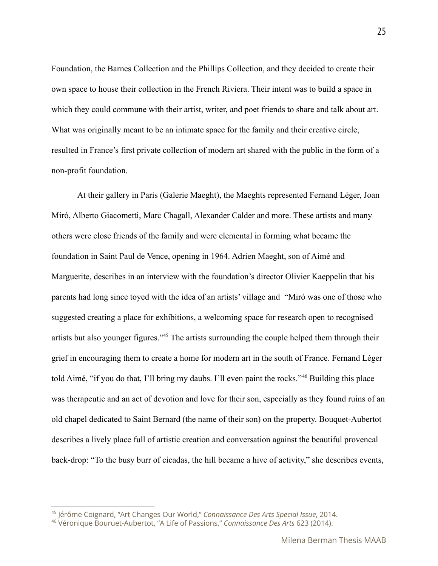Foundation, the Barnes Collection and the Phillips Collection, and they decided to create their own space to house their collection in the French Riviera. Their intent was to build a space in which they could commune with their artist, writer, and poet friends to share and talk about art. What was originally meant to be an intimate space for the family and their creative circle, resulted in France's first private collection of modern art shared with the public in the form of a non-profit foundation.

At their gallery in Paris (Galerie Maeght), the Maeghts represented Fernand Léger, Joan Miró, Alberto Giacometti, Marc Chagall, Alexander Calder and more. These artists and many others were close friends of the family and were elemental in forming what became the foundation in Saint Paul de Vence, opening in 1964. Adrien Maeght, son of Aimé and Marguerite, describes in an interview with the foundation's director Olivier Kaeppelin that his parents had long since toyed with the idea of an artists' village and "Miró was one of those who suggested creating a place for exhibitions, a welcoming space for research open to recognised artists but also younger figures."<sup> $45$ </sup> The artists surrounding the couple helped them through their grief in encouraging them to create a home for modern art in the south of France. Fernand Léger told Aimé, "if you do that, I'll bring my daubs. I'll even paint the rocks." <sup>46</sup> Building this place was therapeutic and an act of devotion and love for their son, especially as they found ruins of an old chapel dedicated to Saint Bernard (the name of their son) on the property. Bouquet-Aubertot describes a lively place full of artistic creation and conversation against the beautiful provencal back-drop: "To the busy burr of cicadas, the hill became a hive of activity," she describes events,

<sup>45</sup> Jérôme Coignard, "Art Changes Our World," *Connaissance Des Arts Special Issue*, 2014.

<sup>46</sup> Véronique Bouruet-Aubertot, "A Life of Passions," *Connaissance Des Arts* 623 (2014).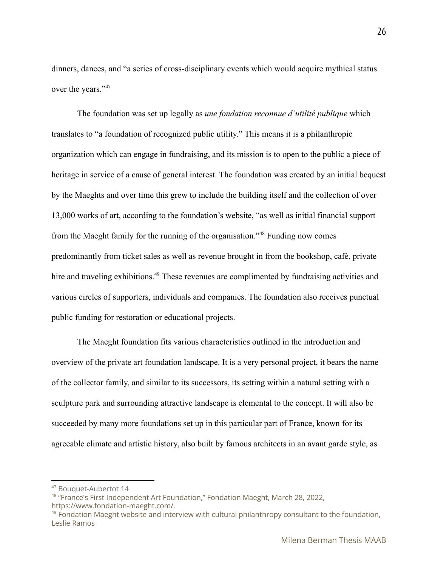dinners, dances, and "a series of cross-disciplinary events which would acquire mythical status over the years."<sup>47</sup>

The foundation was set up legally as *une fondation reconnue d'utilité publique* which translates to "a foundation of recognized public utility." This means it is a philanthropic organization which can engage in fundraising, and its mission is to open to the public a piece of heritage in service of a cause of general interest. The foundation was created by an initial bequest by the Maeghts and over time this grew to include the building itself and the collection of over 13,000 works of art, according to the foundation's website, "as well as initial financial support from the Maeght family for the running of the organisation."<sup>48</sup> Funding now comes predominantly from ticket sales as well as revenue brought in from the bookshop, café, private hire and traveling exhibitions.<sup>49</sup> These revenues are complimented by fundraising activities and various circles of supporters, individuals and companies. The foundation also receives punctual public funding for restoration or educational projects.

The Maeght foundation fits various characteristics outlined in the introduction and overview of the private art foundation landscape. It is a very personal project, it bears the name of the collector family, and similar to its successors, its setting within a natural setting with a sculpture park and surrounding attractive landscape is elemental to the concept. It will also be succeeded by many more foundations set up in this particular part of France, known for its agreeable climate and artistic history, also built by famous architects in an avant garde style, as

<sup>47</sup> Bouquet-Aubertot 14

<sup>&</sup>lt;sup>48</sup> "France's First Independent Art Foundation," Fondation Maeght, March 28, 2022,

https://www.fondation-maeght.com/.

 $49$  Fondation Maeght website and interview with cultural philanthropy consultant to the foundation, Leslie Ramos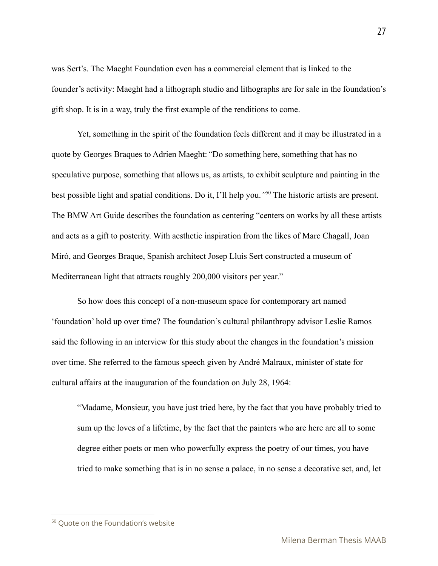was Sert's. The Maeght Foundation even has a commercial element that is linked to the founder's activity: Maeght had a lithograph studio and lithographs are for sale in the foundation's gift shop. It is in a way, truly the first example of the renditions to come.

Yet, something in the spirit of the foundation feels different and it may be illustrated in a quote by Georges Braques to Adrien Maeght:*"*Do something here, something that has no speculative purpose, something that allows us, as artists, to exhibit sculpture and painting in the best possible light and spatial conditions. Do it, I'll help you.<sup>"50</sup> The historic artists are present. The BMW Art Guide describes the foundation as centering "centers on works by all these artists and acts as a gift to posterity. With aesthetic inspiration from the likes of Marc Chagall, Joan Miró, and Georges Braque, Spanish architect Josep Lluís Sert constructed a museum of Mediterranean light that attracts roughly 200,000 visitors per year."

So how does this concept of a non-museum space for contemporary art named 'foundation' hold up over time? The foundation's cultural philanthropy advisor Leslie Ramos said the following in an interview for this study about the changes in the foundation's mission over time. She referred to the famous speech given by André Malraux, minister of state for cultural affairs at the inauguration of the foundation on July 28, 1964:

"Madame, Monsieur, you have just tried here, by the fact that you have probably tried to sum up the loves of a lifetime, by the fact that the painters who are here are all to some degree either poets or men who powerfully express the poetry of our times, you have tried to make something that is in no sense a palace, in no sense a decorative set, and, let

<sup>&</sup>lt;sup>50</sup> Quote on the Foundation's website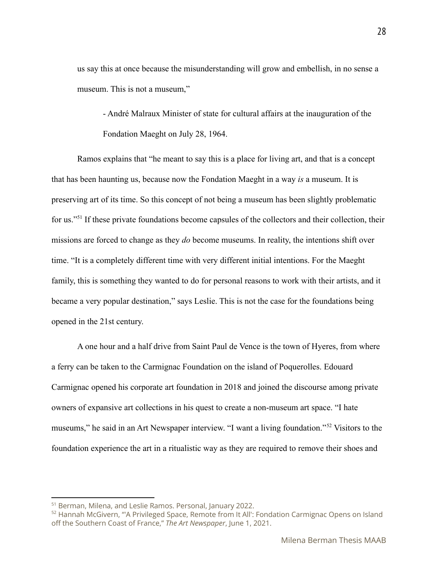us say this at once because the misunderstanding will grow and embellish, in no sense a museum. This is not a museum,"

- André Malraux Minister of state for cultural affairs at the inauguration of the Fondation Maeght on July 28, 1964.

Ramos explains that "he meant to say this is a place for living art, and that is a concept that has been haunting us, because now the Fondation Maeght in a way *is* a museum. It is preserving art of its time. So this concept of not being a museum has been slightly problematic for us."<sup>51</sup> If these private foundations become capsules of the collectors and their collection, their missions are forced to change as they *do* become museums. In reality, the intentions shift over time. "It is a completely different time with very different initial intentions. For the Maeght family, this is something they wanted to do for personal reasons to work with their artists, and it became a very popular destination," says Leslie. This is not the case for the foundations being opened in the 21st century.

A one hour and a half drive from Saint Paul de Vence is the town of Hyeres, from where a ferry can be taken to the Carmignac Foundation on the island of Poquerolles. Edouard Carmignac opened his corporate art foundation in 2018 and joined the discourse among private owners of expansive art collections in his quest to create a non-museum art space. "I hate museums," he said in an Art Newspaper interview. "I want a living foundation."<sup>52</sup> Visitors to the foundation experience the art in a ritualistic way as they are required to remove their shoes and

<sup>51</sup> Berman, Milena, and Leslie Ramos. Personal, January 2022.

<sup>&</sup>lt;sup>52</sup> Hannah McGivern, "'A Privileged Space, Remote from It All': Fondation Carmignac Opens on Island off the Southern Coast of France," *The Art Newspaper*, June 1, 2021.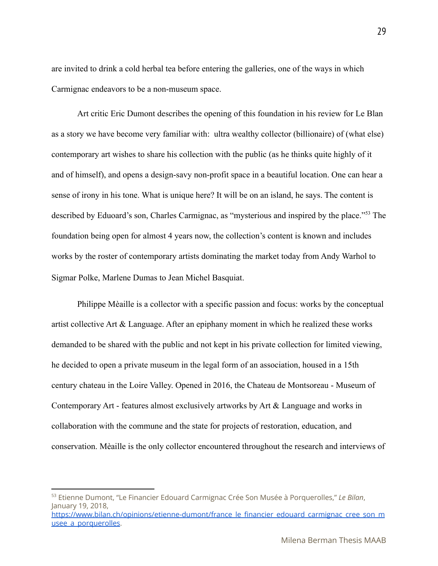are invited to drink a cold herbal tea before entering the galleries, one of the ways in which Carmignac endeavors to be a non-museum space.

Art critic Eric Dumont describes the opening of this foundation in his review for Le Blan as a story we have become very familiar with: ultra wealthy collector (billionaire) of (what else) contemporary art wishes to share his collection with the public (as he thinks quite highly of it and of himself), and opens a design-savy non-profit space in a beautiful location. One can hear a sense of irony in his tone. What is unique here? It will be on an island, he says. The content is described by Eduoard's son, Charles Carmignac, as "mysterious and inspired by the place."<sup>53</sup> The foundation being open for almost 4 years now, the collection's content is known and includes works by the roster of contemporary artists dominating the market today from Andy Warhol to Sigmar Polke, Marlene Dumas to Jean Michel Basquiat.

Philippe Mèaille is a collector with a specific passion and focus: works by the conceptual artist collective Art  $\&$  Language. After an epiphany moment in which he realized these works demanded to be shared with the public and not kept in his private collection for limited viewing, he decided to open a private museum in the legal form of an association, housed in a 15th century chateau in the Loire Valley. Opened in 2016, the Chateau de Montsoreau - Museum of Contemporary Art - features almost exclusively artworks by Art & Language and works in collaboration with the commune and the state for projects of restoration, education, and conservation. Mèaille is the only collector encountered throughout the research and interviews of

Milena Berman Thesis MAAB

<sup>53</sup> Etienne Dumont, "Le Financier Edouard Carmignac Crée Son Musée à Porquerolles," *Le Bilan*, January 19, 2018, [https://www.bilan.ch/opinions/etienne-dumont/france\\_le\\_financier\\_edouard\\_carmignac\\_cree\\_son\\_m](https://www.bilan.ch/opinions/etienne-dumont/france_le_financier_edouard_carmignac_cree_son_musee_a_porquerolles)

usee a porquerolles.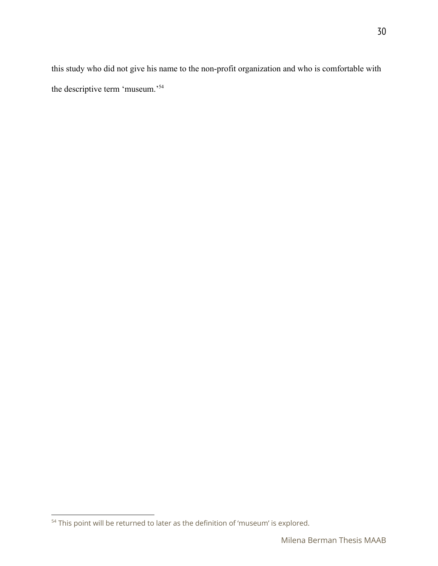this study who did not give his name to the non-profit organization and who is comfortable with the descriptive term 'museum.'<sup>54</sup>

<sup>&</sup>lt;sup>54</sup> This point will be returned to later as the definition of 'museum' is explored.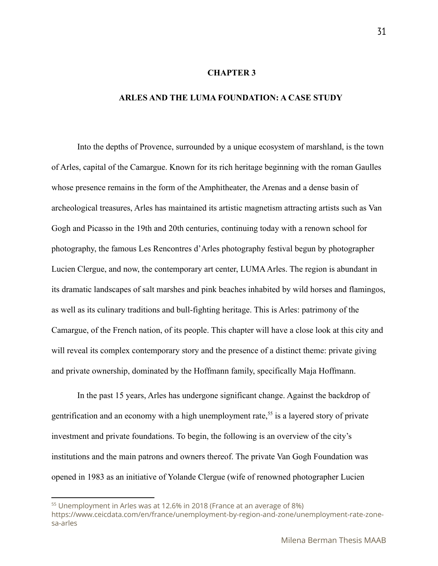#### **CHAPTER 3**

#### **ARLES AND THE LUMA FOUNDATION: A CASE STUDY**

Into the depths of Provence, surrounded by a unique ecosystem of marshland, is the town of Arles, capital of the Camargue. Known for its rich heritage beginning with the roman Gaulles whose presence remains in the form of the Amphitheater, the Arenas and a dense basin of archeological treasures, Arles has maintained its artistic magnetism attracting artists such as Van Gogh and Picasso in the 19th and 20th centuries, continuing today with a renown school for photography, the famous Les Rencontres d'Arles photography festival begun by photographer Lucien Clergue, and now, the contemporary art center, LUMAArles. The region is abundant in its dramatic landscapes of salt marshes and pink beaches inhabited by wild horses and flamingos, as well as its culinary traditions and bull-fighting heritage. This is Arles: patrimony of the Camargue, of the French nation, of its people. This chapter will have a close look at this city and will reveal its complex contemporary story and the presence of a distinct theme: private giving and private ownership, dominated by the Hoffmann family, specifically Maja Hoffmann.

In the past 15 years, Arles has undergone significant change. Against the backdrop of gentrification and an economy with a high unemployment rate,  $55$  is a layered story of private investment and private foundations. To begin, the following is an overview of the city's institutions and the main patrons and owners thereof. The private Van Gogh Foundation was opened in 1983 as an initiative of Yolande Clergue (wife of renowned photographer Lucien

31

<sup>&</sup>lt;sup>55</sup> Unemployment in Arles was at 12.6% in 2018 (France at an average of 8%)

https://www.ceicdata.com/en/france/unemployment-by-region-and-zone/unemployment-rate-zonesa-arles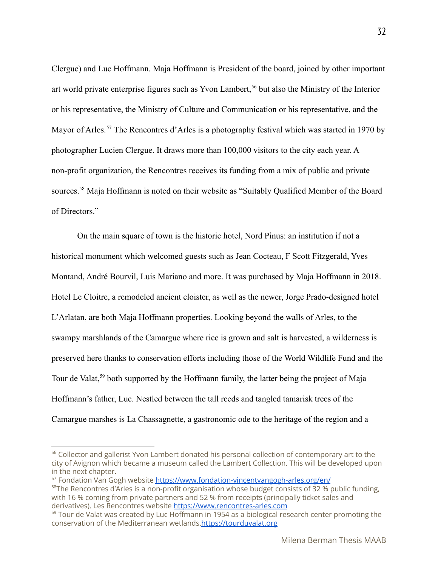Clergue) and Luc Hoffmann. Maja Hoffmann is President of the board, joined by other important art world private enterprise figures such as Yvon Lambert,  $56$  but also the Ministry of the Interior or his representative, the Ministry of Culture and Communication or his representative, and the Mayor of Arles.<sup>57</sup> The Rencontres d'Arles is a photography festival which was started in 1970 by photographer Lucien Clergue. It draws more than 100,000 visitors to the city each year. A non-profit organization, the Rencontres receives its funding from a mix of public and private sources.<sup>58</sup> Maja Hoffmann is noted on their website as "Suitably Qualified Member of the Board of Directors."

On the main square of town is the historic hotel, Nord Pinus: an institution if not a historical monument which welcomed guests such as Jean Cocteau, F Scott Fitzgerald, Yves Montand, André Bourvil, Luis Mariano and more. It was purchased by Maja Hoffmann in 2018. Hotel Le Cloitre, a remodeled ancient cloister, as well as the newer, Jorge Prado-designed hotel L'Arlatan, are both Maja Hoffmann properties. Looking beyond the walls of Arles, to the swampy marshlands of the Camargue where rice is grown and salt is harvested, a wilderness is preserved here thanks to conservation efforts including those of the World Wildlife Fund and the Tour de Valat,<sup>59</sup> both supported by the Hoffmann family, the latter being the project of Maja Hoffmann's father, Luc. Nestled between the tall reeds and tangled tamarisk trees of the Camargue marshes is La Chassagnette, a gastronomic ode to the heritage of the region and a

<sup>57</sup> Fondation Van Gogh website <https://www.fondation-vincentvangogh-arles.org/en/>

 $58$ The Rencontres d'Arles is a non-profit organisation whose budget consists of 32 % public funding, with 16 % coming from private partners and 52 % from receipts (principally ticket sales and derivatives). Les Rencontres website <https://www.rencontres-arles.com>

<sup>&</sup>lt;sup>56</sup> Collector and gallerist Yvon Lambert donated his personal collection of contemporary art to the city of Avignon which became a museum called the Lambert Collection. This will be developed upon in the next chapter.

 $59$  Tour de Valat was created by Luc Hoffmann in 1954 as a biological research center promoting the conservation of the Mediterranean wetlands[.https://tourduvalat.org](https://tourduvalat.org)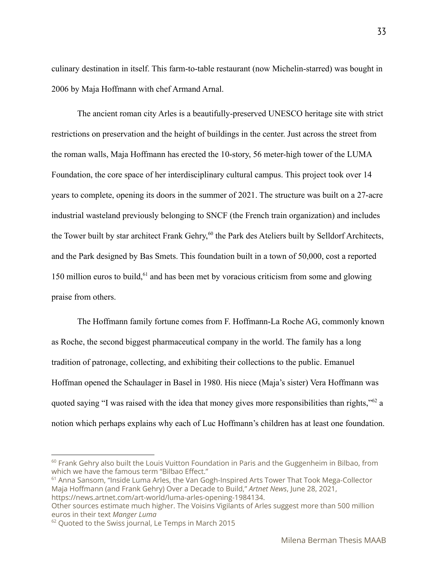culinary destination in itself. This farm-to-table restaurant (now Michelin-starred) was bought in 2006 by Maja Hoffmann with chef Armand Arnal.

The ancient roman city Arles is a beautifully-preserved UNESCO heritage site with strict restrictions on preservation and the height of buildings in the center. Just across the street from the roman walls, Maja Hoffmann has erected the 10-story, 56 meter-high tower of the LUMA Foundation, the core space of her interdisciplinary cultural campus. This project took over 14 years to complete, opening its doors in the summer of 2021. The structure was built on a 27-acre industrial wasteland previously belonging to SNCF (the French train organization) and includes the Tower built by star architect Frank Gehry,<sup>60</sup> the Park des Ateliers built by Selldorf Architects, and the Park designed by Bas Smets. This foundation built in a town of 50,000, cost a reported 150 million euros to build,  $61$  and has been met by voracious criticism from some and glowing praise from others.

The Hoffmann family fortune comes from F. Hoffmann-La Roche AG, commonly known as Roche, the second biggest pharmaceutical company in the world. The family has a long tradition of patronage, collecting, and exhibiting their collections to the public. Emanuel Hoffman opened the Schaulager in Basel in 1980. His niece (Maja's sister) Vera Hoffmann was quoted saying "I was raised with the idea that money gives more responsibilities than rights," $62$  a notion which perhaps explains why each of Luc Hoffmann's children has at least one foundation.

<sup>61</sup> Anna Sansom, "Inside Luma Arles, the Van Gogh-Inspired Arts Tower That Took Mega-Collector Maja Hoffmann (and Frank Gehry) Over a Decade to Build," *Artnet News*, June 28, 2021, https://news.artnet.com/art-world/luma-arles-opening-1984134.

 $60$  Frank Gehry also built the Louis Vuitton Foundation in Paris and the Guggenheim in Bilbao, from which we have the famous term "Bilbao Effect."

Other sources estimate much higher. The Voisins Vigilants of Arles suggest more than 500 million euros in their text *Manger Luma*

<sup>&</sup>lt;sup>62</sup> Quoted to the Swiss journal, Le Temps in March 2015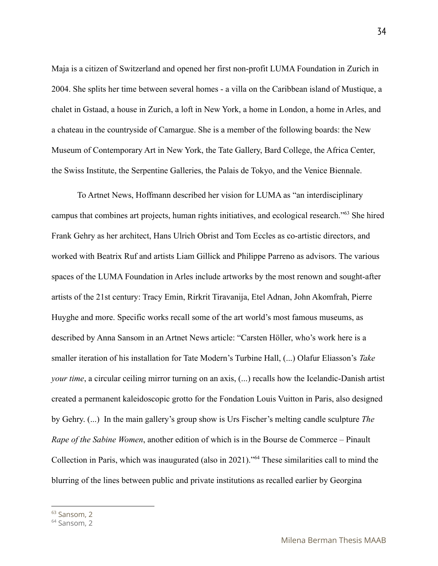Maja is a citizen of Switzerland and opened her first non-profit LUMA Foundation in Zurich in 2004. She splits her time between several homes - a villa on the Caribbean island of Mustique, a chalet in Gstaad, a house in Zurich, a loft in New York, a home in London, a home in Arles, and a chateau in the countryside of Camargue. She is a member of the following boards: the New Museum of Contemporary Art in New York, the Tate Gallery, Bard College, the Africa Center, the Swiss Institute, the Serpentine Galleries, the Palais de Tokyo, and the Venice Biennale.

To Artnet News, Hoffmann described her vision for LUMA as "an interdisciplinary campus that combines art projects, human rights initiatives, and ecological research."<sup>63</sup> She hired Frank Gehry as her architect, Hans Ulrich Obrist and Tom Eccles as co-artistic directors, and worked with Beatrix Ruf and artists Liam Gillick and Philippe Parreno as advisors. The various spaces of the LUMA Foundation in Arles include artworks by the most renown and sought-after artists of the 21st century: Tracy Emin, Rirkrit Tiravanija, Etel Adnan, John Akomfrah, Pierre Huyghe and more. Specific works recall some of the art world's most famous museums, as described by Anna Sansom in an Artnet News article: "Carsten Höller, who's work here is a smaller iteration of his installation for Tate Modern's Turbine Hall, (...) Olafur Eliasson's *Take your time*, a circular ceiling mirror turning on an axis,  $(...)$  recalls how the Icelandic-Danish artist created a permanent kaleidoscopic grotto for the Fondation Louis Vuitton in Paris, also designed by Gehry. (...) In the main gallery's group show is Urs Fischer's melting candle sculpture *The Rape of the Sabine Women*, another edition of which is in the Bourse de Commerce – Pinault Collection in Paris, which was inaugurated (also in 2021)."<sup>64</sup> These similarities call to mind the blurring of the lines between public and private institutions as recalled earlier by Georgina

<sup>&</sup>lt;sup>63</sup> Sansom, 2

<sup>&</sup>lt;sup>64</sup> Sansom, 2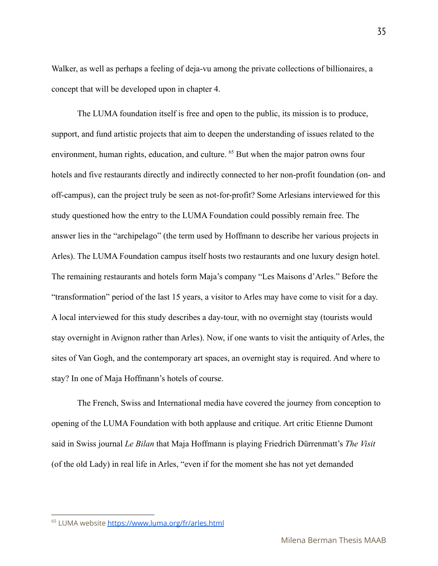Walker, as well as perhaps a feeling of deja-vu among the private collections of billionaires, a concept that will be developed upon in chapter 4.

The LUMA foundation itself is free and open to the public, its mission is to produce, support, and fund artistic projects that aim to deepen the understanding of issues related to the environment, human rights, education, and culture.  $65$  But when the major patron owns four hotels and five restaurants directly and indirectly connected to her non-profit foundation (on- and off-campus), can the project truly be seen as not-for-profit? Some Arlesians interviewed for this study questioned how the entry to the LUMA Foundation could possibly remain free. The answer lies in the "archipelago" (the term used by Hoffmann to describe her various projects in Arles). The LUMA Foundation campus itself hosts two restaurants and one luxury design hotel. The remaining restaurants and hotels form Maja's company "Les Maisons d'Arles." Before the "transformation" period of the last 15 years, a visitor to Arles may have come to visit for a day. A local interviewed for this study describes a day-tour, with no overnight stay (tourists would stay overnight in Avignon rather than Arles). Now, if one wants to visit the antiquity of Arles, the sites of Van Gogh, and the contemporary art spaces, an overnight stay is required. And where to stay? In one of Maja Hoffmann's hotels of course.

The French, Swiss and International media have covered the journey from conception to opening of the LUMA Foundation with both applause and critique. Art critic Etienne Dumont said in Swiss journal *Le Bilan* that Maja Hoffmann is playing Friedrich Dürrenmatt's *The Visit* (of the old Lady) in real life in Arles, "even if for the moment she has not yet demanded

<sup>65</sup> LUMA website <https://www.luma.org/fr/arles.html>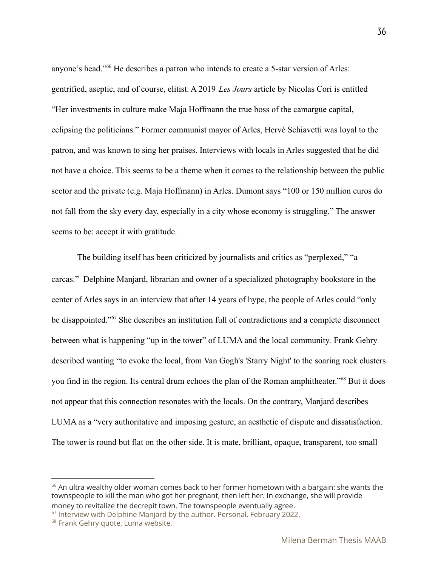anyone's head."<sup>66</sup> He describes a patron who intends to create a 5-star version of Arles: gentrified, aseptic, and of course, elitist. A 2019 *Les Jours* article by Nicolas Cori is entitled "Her investments in culture make Maja Hoffmann the true boss of the camargue capital, eclipsing the politicians." Former communist mayor of Arles, Hervé Schiavetti was loyal to the patron, and was known to sing her praises. Interviews with locals in Arles suggested that he did not have a choice. This seems to be a theme when it comes to the relationship between the public sector and the private (e.g. Maja Hoffmann) in Arles. Dumont says "100 or 150 million euros do not fall from the sky every day, especially in a city whose economy is struggling." The answer seems to be: accept it with gratitude.

The building itself has been criticized by journalists and critics as "perplexed," "a carcas." Delphine Manjard, librarian and owner of a specialized photography bookstore in the center of Arles says in an interview that after 14 years of hype, the people of Arles could "only be disappointed."<sup>67</sup> She describes an institution full of contradictions and a complete disconnect between what is happening "up in the tower" of LUMA and the local community. Frank Gehry described wanting "to evoke the local, from Van Gogh's 'Starry Night' to the soaring rock clusters you find in the region. Its central drum echoes the plan of the Roman amphitheater."<sup>68</sup> But it does not appear that this connection resonates with the locals. On the contrary, Manjard describes LUMA as a "very authoritative and imposing gesture, an aesthetic of dispute and dissatisfaction. The tower is round but flat on the other side. It is mate, brilliant, opaque, transparent, too small

 $66$  An ultra wealthy older woman comes back to her former hometown with a bargain: she wants the townspeople to kill the man who got her pregnant, then left her. In exchange, she will provide money to revitalize the decrepit town. The townspeople eventually agree.

 $67$  Interview with Delphine Manjard by the author. Personal, February 2022.

<sup>&</sup>lt;sup>68</sup> Frank Gehry quote, Luma website.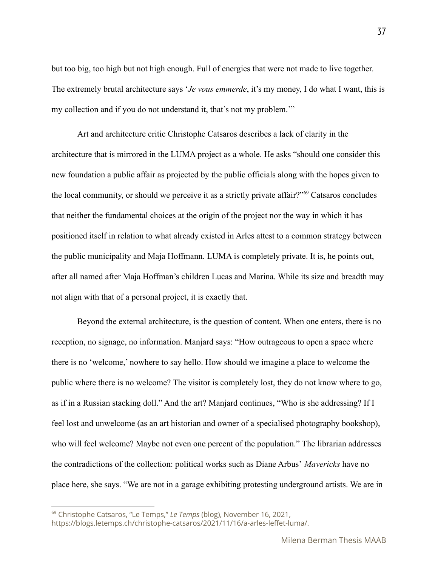but too big, too high but not high enough. Full of energies that were not made to live together. The extremely brutal architecture says '*Je vous emmerde*, it's my money, I do what I want, this is my collection and if you do not understand it, that's not my problem.'"

Art and architecture critic Christophe Catsaros describes a lack of clarity in the architecture that is mirrored in the LUMA project as a whole. He asks "should one consider this new foundation a public affair as projected by the public officials along with the hopes given to the local community, or should we perceive it as a strictly private affair?" $69^{\circ}$  Catsaros concludes that neither the fundamental choices at the origin of the project nor the way in which it has positioned itself in relation to what already existed in Arles attest to a common strategy between the public municipality and Maja Hoffmann. LUMA is completely private. It is, he points out, after all named after Maja Hoffman's children Lucas and Marina. While its size and breadth may not align with that of a personal project, it is exactly that.

Beyond the external architecture, is the question of content. When one enters, there is no reception, no signage, no information. Manjard says: "How outrageous to open a space where there is no 'welcome,' nowhere to say hello. How should we imagine a place to welcome the public where there is no welcome? The visitor is completely lost, they do not know where to go, as if in a Russian stacking doll." And the art? Manjard continues, "Who is she addressing? If I feel lost and unwelcome (as an art historian and owner of a specialised photography bookshop), who will feel welcome? Maybe not even one percent of the population." The librarian addresses the contradictions of the collection: political works such as Diane Arbus' *Mavericks* have no place here, she says. "We are not in a garage exhibiting protesting underground artists. We are in

<sup>69</sup> Christophe Catsaros, "Le Temps," *Le Temps* (blog), November 16, 2021, https://blogs.letemps.ch/christophe-catsaros/2021/11/16/a-arles-leffet-luma/.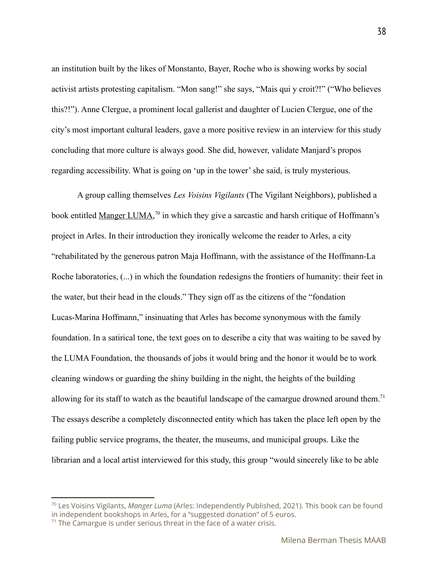an institution built by the likes of Monstanto, Bayer, Roche who is showing works by social activist artists protesting capitalism. "Mon sang!" she says, "Mais qui y croit?!" ("Who believes this?!"). Anne Clergue, a prominent local gallerist and daughter of Lucien Clergue, one of the city's most important cultural leaders, gave a more positive review in an interview for this study concluding that more culture is always good. She did, however, validate Manjard's propos regarding accessibility. What is going on 'up in the tower' she said, is truly mysterious.

A group calling themselves *Les Voisins Vigilants* (The Vigilant Neighbors), published a book entitled Manger LUMA,<sup>70</sup> in which they give a sarcastic and harsh critique of Hoffmann's project in Arles. In their introduction they ironically welcome the reader to Arles, a city "rehabilitated by the generous patron Maja Hoffmann, with the assistance of the Hoffmann-La Roche laboratories, (...) in which the foundation redesigns the frontiers of humanity: their feet in the water, but their head in the clouds." They sign off as the citizens of the "fondation Lucas-Marina Hoffmann," insinuating that Arles has become synonymous with the family foundation. In a satirical tone, the text goes on to describe a city that was waiting to be saved by the LUMA Foundation, the thousands of jobs it would bring and the honor it would be to work cleaning windows or guarding the shiny building in the night, the heights of the building allowing for its staff to watch as the beautiful landscape of the camargue drowned around them.<sup>71</sup> The essays describe a completely disconnected entity which has taken the place left open by the failing public service programs, the theater, the museums, and municipal groups. Like the librarian and a local artist interviewed for this study, this group "would sincerely like to be able

<sup>70</sup> Les Voisins Vigilants, *Manger Luma* (Arles: Independently Published, 2021). This book can be found in independent bookshops in Arles, for a "suggested donation" of 5 euros.

 $71$  The Camargue is under serious threat in the face of a water crisis.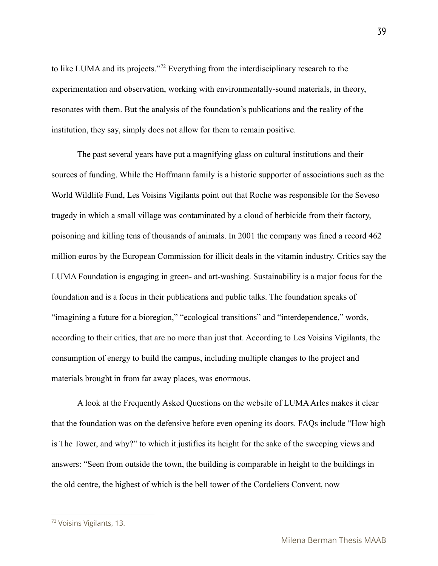to like LUMA and its projects."<sup>72</sup> Everything from the interdisciplinary research to the experimentation and observation, working with environmentally-sound materials, in theory, resonates with them. But the analysis of the foundation's publications and the reality of the institution, they say, simply does not allow for them to remain positive.

The past several years have put a magnifying glass on cultural institutions and their sources of funding. While the Hoffmann family is a historic supporter of associations such as the World Wildlife Fund, Les Voisins Vigilants point out that Roche was responsible for the Seveso tragedy in which a small village was contaminated by a cloud of herbicide from their factory, poisoning and killing tens of thousands of animals. In 2001 the company was fined a record 462 million euros by the European Commission for illicit deals in the vitamin industry. Critics say the LUMA Foundation is engaging in green- and art-washing. Sustainability is a major focus for the foundation and is a focus in their publications and public talks. The foundation speaks of "imagining a future for a bioregion," "ecological transitions" and "interdependence," words, according to their critics, that are no more than just that. According to Les Voisins Vigilants, the consumption of energy to build the campus, including multiple changes to the project and materials brought in from far away places, was enormous.

A look at the Frequently Asked Questions on the website of LUMA Arles makes it clear that the foundation was on the defensive before even opening its doors. FAQs include "How high is The Tower, and why?" to which it justifies its height for the sake of the sweeping views and answers: "Seen from outside the town, the building is comparable in height to the buildings in the old centre, the highest of which is the bell tower of the Cordeliers Convent, now

<sup>72</sup> Voisins Vigilants, 13.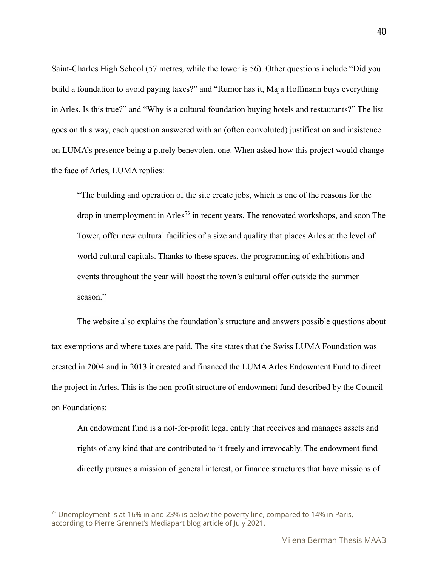Saint-Charles High School (57 metres, while the tower is 56). Other questions include "Did you build a foundation to avoid paying taxes?" and "Rumor has it, Maja Hoffmann buys everything in Arles. Is this true?" and "Why is a cultural foundation buying hotels and restaurants?" The list goes on this way, each question answered with an (often convoluted) justification and insistence on LUMA's presence being a purely benevolent one. When asked how this project would change the face of Arles, LUMA replies:

"The building and operation of the site create jobs, which is one of the reasons for the drop in unemployment in Arles<sup>73</sup> in recent years. The renovated workshops, and soon The Tower, offer new cultural facilities of a size and quality that places Arles at the level of world cultural capitals. Thanks to these spaces, the programming of exhibitions and events throughout the year will boost the town's cultural offer outside the summer season<sup>"</sup>

The website also explains the foundation's structure and answers possible questions about tax exemptions and where taxes are paid. The site states that the Swiss LUMA Foundation was created in 2004 and in 2013 it created and financed the LUMA Arles Endowment Fund to direct the project in Arles. This is the non-profit structure of endowment fund described by the Council on Foundations:

An endowment fund is a not-for-profit legal entity that receives and manages assets and rights of any kind that are contributed to it freely and irrevocably. The endowment fund directly pursues a mission of general interest, or finance structures that have missions of

 $^{73}$  Unemployment is at 16% in and 23% is below the poverty line, compared to 14% in Paris, according to Pierre Grennet's Mediapart blog article of July 2021.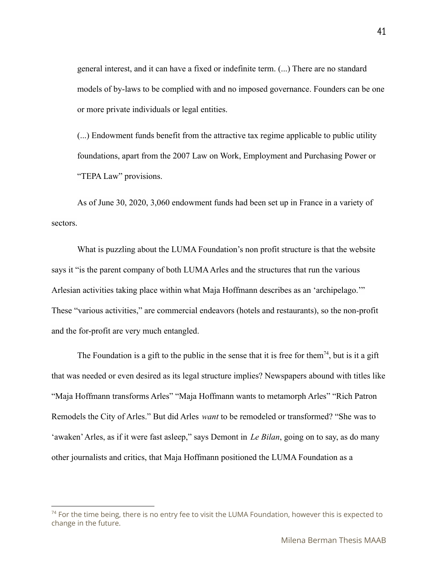general interest, and it can have a fixed or indefinite term. (...) There are no standard models of by-laws to be complied with and no imposed governance. Founders can be one or more private individuals or legal entities.

(...) Endowment funds benefit from the attractive tax regime applicable to public utility foundations, apart from the 2007 Law on Work, Employment and Purchasing Power or "TEPA Law" provisions.

As of June 30, 2020, 3,060 endowment funds had been set up in France in a variety of sectors.

What is puzzling about the LUMA Foundation's non profit structure is that the website says it "is the parent company of both LUMA Arles and the structures that run the various Arlesian activities taking place within what Maja Hoffmann describes as an 'archipelago.'" These "various activities," are commercial endeavors (hotels and restaurants), so the non-profit and the for-profit are very much entangled.

The Foundation is a gift to the public in the sense that it is free for them<sup>74</sup>, but is it a gift that was needed or even desired as its legal structure implies? Newspapers abound with titles like "Maja Hoffmann transforms Arles" "Maja Hoffmann wants to metamorph Arles" "Rich Patron Remodels the City of Arles." But did Arles *want* to be remodeled or transformed? "She was to 'awaken'Arles, as if it were fast asleep," says Demont in *Le Bilan*, going on to say, as do many other journalists and critics, that Maja Hoffmann positioned the LUMA Foundation as a

 $74$  For the time being, there is no entry fee to visit the LUMA Foundation, however this is expected to change in the future.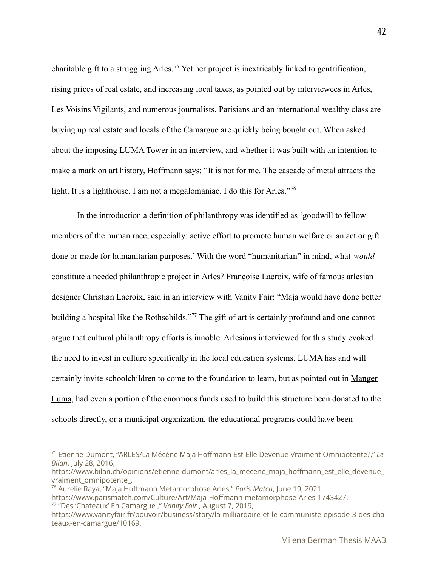charitable gift to a struggling Arles.<sup>75</sup> Yet her project is inextricably linked to gentrification, rising prices of real estate, and increasing local taxes, as pointed out by interviewees in Arles, Les Voisins Vigilants, and numerous journalists. Parisians and an international wealthy class are buying up real estate and locals of the Camargue are quickly being bought out. When asked about the imposing LUMA Tower in an interview, and whether it was built with an intention to make a mark on art history, Hoffmann says: "It is not for me. The cascade of metal attracts the light. It is a lighthouse. I am not a megalomaniac. I do this for Arles."<sup>76</sup>

In the introduction a definition of philanthropy was identified as 'goodwill to fellow members of the human race, especially: active effort to promote human welfare or an act or gift done or made for humanitarian purposes.' With the word "humanitarian" in mind, what *would* constitute a needed philanthropic project in Arles? Françoise Lacroix, wife of famous arlesian designer Christian Lacroix, said in an interview with Vanity Fair: "Maja would have done better building a hospital like the Rothschilds."<sup>77</sup> The gift of art is certainly profound and one cannot argue that cultural philanthropy efforts is innoble. Arlesians interviewed for this study evoked the need to invest in culture specifically in the local education systems. LUMA has and will certainly invite schoolchildren to come to the foundation to learn, but as pointed out in Manger Luma, had even a portion of the enormous funds used to build this structure been donated to the schools directly, or a municipal organization, the educational programs could have been

42

<sup>75</sup> Etienne Dumont, "ARLES/La Mécène Maja Hoffmann Est-Elle Devenue Vraiment Omnipotente?," *Le Bilan*, July 28, 2016,

https://www.bilan.ch/opinions/etienne-dumont/arles\_la\_mecene\_maja\_hoffmann\_est\_elle\_devenue\_ vraiment\_omnipotente\_.

<sup>76</sup> Aurélie Raya, "Maja Hoffmann Metamorphose Arles," *Paris Match*, June 19, 2021,

https://www.parismatch.com/Culture/Art/Maja-Hoffmann-metamorphose-Arles-1743427.

<sup>77</sup> "Des 'Chateaux' En Camargue ," *Vanity Fair* , August 7, 2019,

https://www.vanityfair.fr/pouvoir/business/story/la-milliardaire-et-le-communiste-episode-3-des-cha teaux-en-camargue/10169.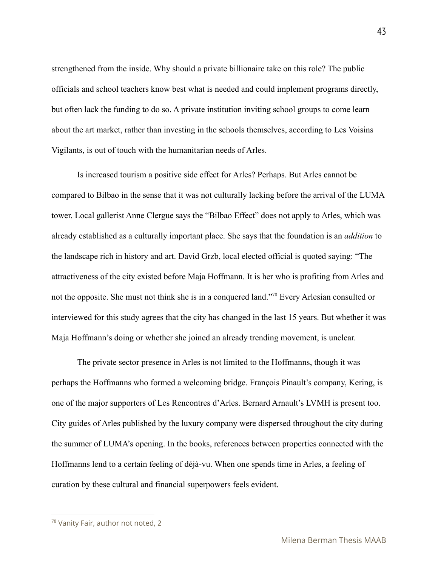strengthened from the inside. Why should a private billionaire take on this role? The public officials and school teachers know best what is needed and could implement programs directly, but often lack the funding to do so. A private institution inviting school groups to come learn about the art market, rather than investing in the schools themselves, according to Les Voisins Vigilants, is out of touch with the humanitarian needs of Arles.

Is increased tourism a positive side effect for Arles? Perhaps. But Arles cannot be compared to Bilbao in the sense that it was not culturally lacking before the arrival of the LUMA tower. Local gallerist Anne Clergue says the "Bilbao Effect" does not apply to Arles, which was already established as a culturally important place. She says that the foundation is an *addition* to the landscape rich in history and art. David Grzb, local elected official is quoted saying: "The attractiveness of the city existed before Maja Hoffmann. It is her who is profiting from Arles and not the opposite. She must not think she is in a conquered land."<sup>78</sup> Every Arlesian consulted or interviewed for this study agrees that the city has changed in the last 15 years. But whether it was Maja Hoffmann's doing or whether she joined an already trending movement, is unclear.

The private sector presence in Arles is not limited to the Hoffmanns, though it was perhaps the Hoffmanns who formed a welcoming bridge. François Pinault's company, Kering, is one of the major supporters of Les Rencontres d'Arles. Bernard Arnault's LVMH is present too. City guides of Arles published by the luxury company were dispersed throughout the city during the summer of LUMA's opening. In the books, references between properties connected with the Hoffmanns lend to a certain feeling of déjà-vu. When one spends time in Arles, a feeling of curation by these cultural and financial superpowers feels evident.

<sup>78</sup> Vanity Fair, author not noted, 2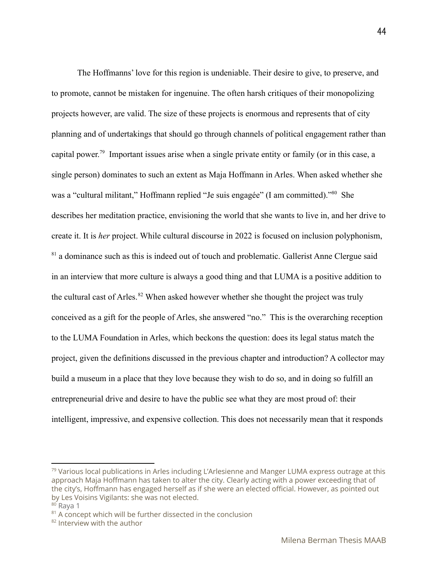The Hoffmanns' love for this region is undeniable. Their desire to give, to preserve, and to promote, cannot be mistaken for ingenuine. The often harsh critiques of their monopolizing projects however, are valid. The size of these projects is enormous and represents that of city planning and of undertakings that should go through channels of political engagement rather than capital power.<sup>79</sup> Important issues arise when a single private entity or family (or in this case, a single person) dominates to such an extent as Maja Hoffmann in Arles. When asked whether she was a "cultural militant," Hoffmann replied "Je suis engagée" (I am committed)."<sup>80</sup> She describes her meditation practice, envisioning the world that she wants to live in, and her drive to create it. It is *her* project. While cultural discourse in 2022 is focused on inclusion polyphonism,  $81$  a dominance such as this is indeed out of touch and problematic. Gallerist Anne Clergue said in an interview that more culture is always a good thing and that LUMA is a positive addition to the cultural cast of Arles.  $82$  When asked however whether she thought the project was truly conceived as a gift for the people of Arles, she answered "no." This is the overarching reception to the LUMA Foundation in Arles, which beckons the question: does its legal status match the project, given the definitions discussed in the previous chapter and introduction? A collector may build a museum in a place that they love because they wish to do so, and in doing so fulfill an entrepreneurial drive and desire to have the public see what they are most proud of: their intelligent, impressive, and expensive collection. This does not necessarily mean that it responds

44

<sup>79</sup> Various local publications in Arles including L'Arlesienne and Manger LUMA express outrage at this approach Maja Hoffmann has taken to alter the city. Clearly acting with a power exceeding that of the city's, Hoffmann has engaged herself as if she were an elected official. However, as pointed out by Les Voisins Vigilants: she was not elected.

 $80$  Rava 1

 $81$  A concept which will be further dissected in the conclusion

<sup>&</sup>lt;sup>82</sup> Interview with the author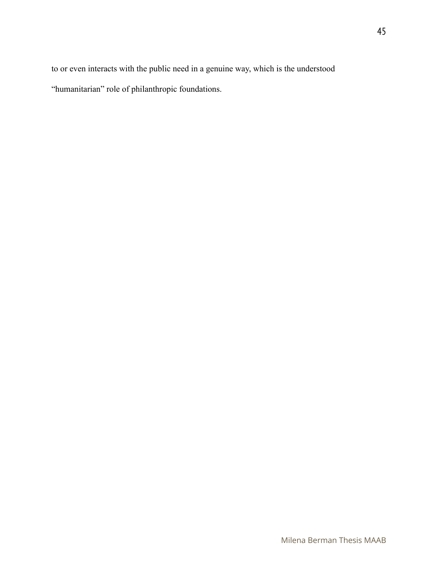to or even interacts with the public need in a genuine way, which is the understood "humanitarian" role of philanthropic foundations.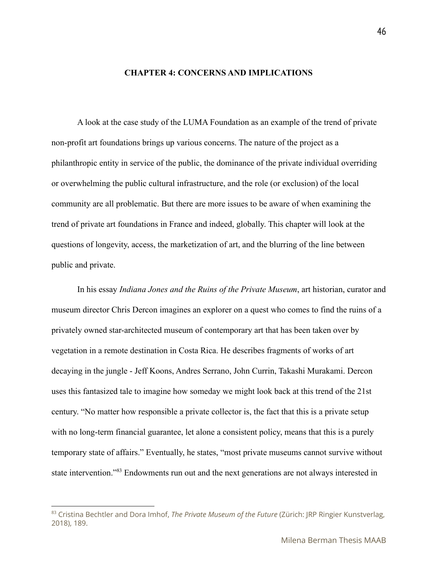#### **CHAPTER 4: CONCERNS AND IMPLICATIONS**

A look at the case study of the LUMA Foundation as an example of the trend of private non-profit art foundations brings up various concerns. The nature of the project as a philanthropic entity in service of the public, the dominance of the private individual overriding or overwhelming the public cultural infrastructure, and the role (or exclusion) of the local community are all problematic. But there are more issues to be aware of when examining the trend of private art foundations in France and indeed, globally. This chapter will look at the questions of longevity, access, the marketization of art, and the blurring of the line between public and private.

In his essay *Indiana Jones and the Ruins of the Private Museum*, art historian, curator and museum director Chris Dercon imagines an explorer on a quest who comes to find the ruins of a privately owned star-architected museum of contemporary art that has been taken over by vegetation in a remote destination in Costa Rica. He describes fragments of works of art decaying in the jungle - Jeff Koons, Andres Serrano, John Currin, Takashi Murakami. Dercon uses this fantasized tale to imagine how someday we might look back at this trend of the 21st century. "No matter how responsible a private collector is, the fact that this is a private setup with no long-term financial guarantee, let alone a consistent policy, means that this is a purely temporary state of affairs." Eventually, he states, "most private museums cannot survive without state intervention."<sup>83</sup> Endowments run out and the next generations are not always interested in

<sup>83</sup> Cristina Bechtler and Dora Imhof, *The Private Museum of the Future* (Zürich: JRP Ringier Kunstverlag, 2018), 189.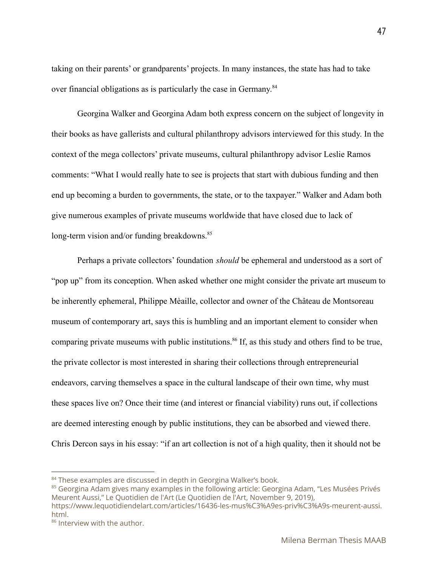taking on their parents' or grandparents' projects. In many instances, the state has had to take over financial obligations as is particularly the case in Germany.<sup>84</sup>

Georgina Walker and Georgina Adam both express concern on the subject of longevity in their books as have gallerists and cultural philanthropy advisors interviewed for this study. In the context of the mega collectors' private museums, cultural philanthropy advisor Leslie Ramos comments: "What I would really hate to see is projects that start with dubious funding and then end up becoming a burden to governments, the state, or to the taxpayer." Walker and Adam both give numerous examples of private museums worldwide that have closed due to lack of long-term vision and/or funding breakdowns. $85$ 

Perhaps a private collectors' foundation *should* be ephemeral and understood as a sort of "pop up" from its conception. When asked whether one might consider the private art museum to be inherently ephemeral, Philippe Mèaille, collector and owner of the Château de Montsoreau museum of contemporary art, says this is humbling and an important element to consider when comparing private museums with public institutions.<sup>86</sup> If, as this study and others find to be true, the private collector is most interested in sharing their collections through entrepreneurial endeavors, carving themselves a space in the cultural landscape of their own time, why must these spaces live on? Once their time (and interest or financial viability) runs out, if collections are deemed interesting enough by public institutions, they can be absorbed and viewed there. Chris Dercon says in his essay: "if an art collection is not of a high quality, then it should not be

<sup>&</sup>lt;sup>84</sup> These examples are discussed in depth in Georgina Walker's book.

<sup>&</sup>lt;sup>85</sup> Georgina Adam gives many examples in the following article: Georgina Adam, "Les Musées Privés Meurent Aussi," Le Quotidien de l'Art (Le Quotidien de l'Art, November 9, 2019),

https://www.lequotidiendelart.com/articles/16436-les-mus%C3%A9es-priv%C3%A9s-meurent-aussi. html.

<sup>86</sup> Interview with the author.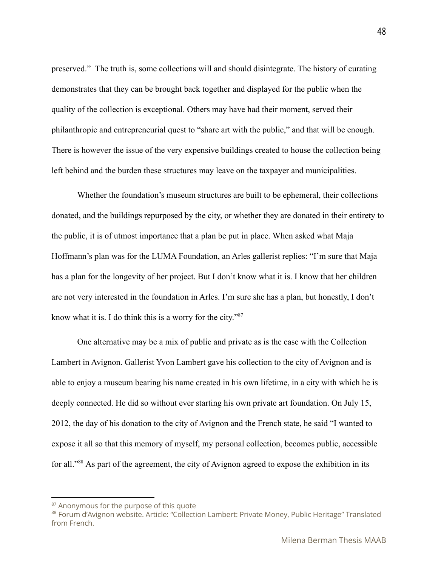preserved." The truth is, some collections will and should disintegrate. The history of curating demonstrates that they can be brought back together and displayed for the public when the quality of the collection is exceptional. Others may have had their moment, served their philanthropic and entrepreneurial quest to "share art with the public," and that will be enough. There is however the issue of the very expensive buildings created to house the collection being left behind and the burden these structures may leave on the taxpayer and municipalities.

Whether the foundation's museum structures are built to be ephemeral, their collections donated, and the buildings repurposed by the city, or whether they are donated in their entirety to the public, it is of utmost importance that a plan be put in place. When asked what Maja Hoffmann's plan was for the LUMA Foundation, an Arles gallerist replies: "I'm sure that Maja has a plan for the longevity of her project. But I don't know what it is. I know that her children are not very interested in the foundation in Arles. I'm sure she has a plan, but honestly, I don't know what it is. I do think this is a worry for the city."<sup>87</sup>

One alternative may be a mix of public and private as is the case with the Collection Lambert in Avignon. Gallerist Yvon Lambert gave his collection to the city of Avignon and is able to enjoy a museum bearing his name created in his own lifetime, in a city with which he is deeply connected. He did so without ever starting his own private art foundation. On July 15, 2012, the day of his donation to the city of Avignon and the French state, he said "I wanted to expose it all so that this memory of myself, my personal collection, becomes public, accessible for all."<sup>88</sup> As part of the agreement, the city of Avignon agreed to expose the exhibition in its

<sup>&</sup>lt;sup>87</sup> Anonymous for the purpose of this quote

<sup>88</sup> Forum d'Avignon website. Article: "Collection Lambert: Private Money, Public Heritage" Translated from French.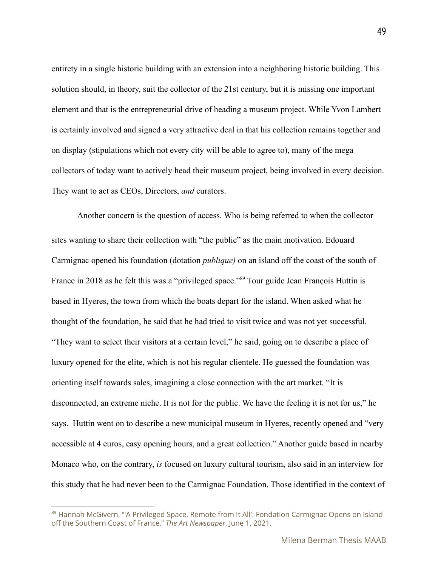entirety in a single historic building with an extension into a neighboring historic building. This solution should, in theory, suit the collector of the 21st century, but it is missing one important element and that is the entrepreneurial drive of heading a museum project. While Yvon Lambert is certainly involved and signed a very attractive deal in that his collection remains together and on display (stipulations which not every city will be able to agree to), many of the mega collectors of today want to actively head their museum project, being involved in every decision. They want to act as CEOs, Directors, *and* curators.

Another concern is the question of access. Who is being referred to when the collector sites wanting to share their collection with "the public" as the main motivation. Edouard Carmignac opened his foundation (dotation *publique)* on an island off the coast of the south of France in 2018 as he felt this was a "privileged space."<sup>89</sup> Tour guide Jean François Huttin is based in Hyeres, the town from which the boats depart for the island. When asked what he thought of the foundation, he said that he had tried to visit twice and was not yet successful. "They want to select their visitors at a certain level," he said, going on to describe a place of luxury opened for the elite, which is not his regular clientele. He guessed the foundation was orienting itself towards sales, imagining a close connection with the art market. "It is disconnected, an extreme niche. It is not for the public. We have the feeling it is not for us," he says. Huttin went on to describe a new municipal museum in Hyeres, recently opened and "very accessible at 4 euros, easy opening hours, and a great collection." Another guide based in nearby Monaco who, on the contrary, *is* focused on luxury cultural tourism, also said in an interview for this study that he had never been to the Carmignac Foundation. Those identified in the context of

<sup>89</sup> Hannah McGivern, "'A Privileged Space, Remote from It All': Fondation Carmignac Opens on Island off the Southern Coast of France," *The Art Newspaper*, June 1, 2021.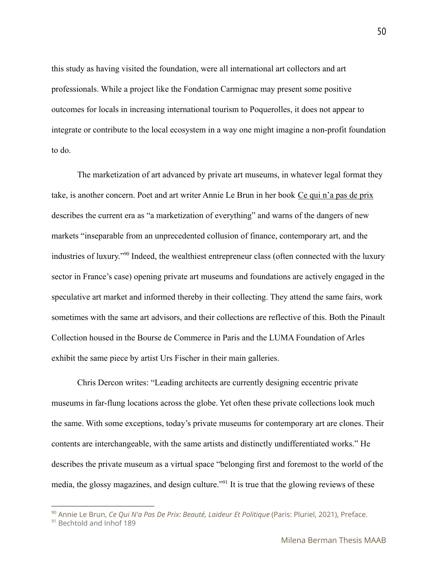this study as having visited the foundation, were all international art collectors and art professionals. While a project like the Fondation Carmignac may present some positive outcomes for locals in increasing international tourism to Poquerolles, it does not appear to integrate or contribute to the local ecosystem in a way one might imagine a non-profit foundation to do.

The marketization of art advanced by private art museums, in whatever legal format they take, is another concern. Poet and art writer Annie Le Brun in her book Ce qui n'a pas de prix describes the current era as "a marketization of everything" and warns of the dangers of new markets "inseparable from an unprecedented collusion of finance, contemporary art, and the industries of luxury."<sup>90</sup> Indeed, the wealthiest entrepreneur class (often connected with the luxury sector in France's case) opening private art museums and foundations are actively engaged in the speculative art market and informed thereby in their collecting. They attend the same fairs, work sometimes with the same art advisors, and their collections are reflective of this. Both the Pinault Collection housed in the Bourse de Commerce in Paris and the LUMA Foundation of Arles exhibit the same piece by artist Urs Fischer in their main galleries.

Chris Dercon writes: "Leading architects are currently designing eccentric private museums in far-flung locations across the globe. Yet often these private collections look much the same. With some exceptions, today's private museums for contemporary art are clones. Their contents are interchangeable, with the same artists and distinctly undifferentiated works." He describes the private museum as a virtual space "belonging first and foremost to the world of the media, the glossy magazines, and design culture."<sup>91</sup> It is true that the glowing reviews of these

<sup>90</sup> Annie Le Brun, *Ce Qui N'a Pas De Prix: Beauté, Laideur Et Politique* (Paris: Pluriel, 2021), Preface.

<sup>&</sup>lt;sup>91</sup> Bechtold and Inhof 189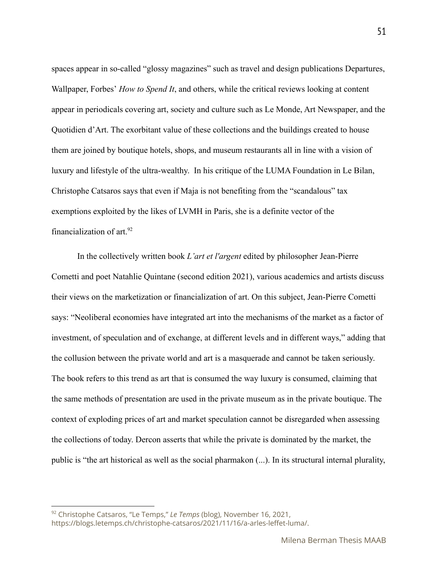spaces appear in so-called "glossy magazines" such as travel and design publications Departures, Wallpaper, Forbes' *How to Spend It*, and others, while the critical reviews looking at content appear in periodicals covering art, society and culture such as Le Monde, Art Newspaper, and the Quotidien d'Art. The exorbitant value of these collections and the buildings created to house them are joined by boutique hotels, shops, and museum restaurants all in line with a vision of luxury and lifestyle of the ultra-wealthy. In his critique of the LUMA Foundation in Le Bilan, Christophe Catsaros says that even if Maja is not benefiting from the "scandalous" tax exemptions exploited by the likes of LVMH in Paris, she is a definite vector of the financialization of  $art.^{92}$ 

In the collectively written book *L'art et l'argent* edited by philosopher Jean-Pierre Cometti and poet Natahlie Quintane (second edition 2021), various academics and artists discuss their views on the marketization or financialization of art. On this subject, Jean-Pierre Cometti says: "Neoliberal economies have integrated art into the mechanisms of the market as a factor of investment, of speculation and of exchange, at different levels and in different ways," adding that the collusion between the private world and art is a masquerade and cannot be taken seriously. The book refers to this trend as art that is consumed the way luxury is consumed, claiming that the same methods of presentation are used in the private museum as in the private boutique. The context of exploding prices of art and market speculation cannot be disregarded when assessing the collections of today. Dercon asserts that while the private is dominated by the market, the public is "the art historical as well as the social pharmakon (...). In its structural internal plurality,

<sup>92</sup> Christophe Catsaros, "Le Temps," *Le Temps* (blog), November 16, 2021, https://blogs.letemps.ch/christophe-catsaros/2021/11/16/a-arles-leffet-luma/.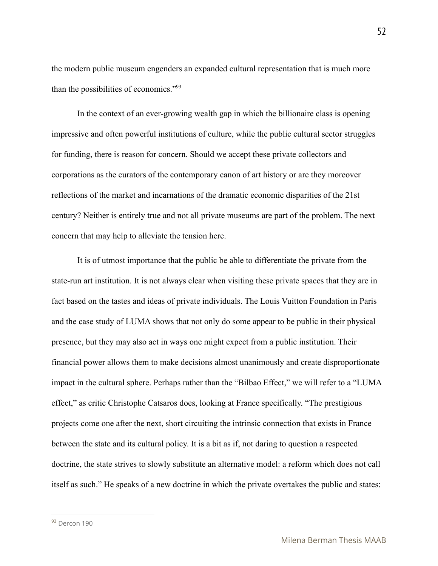the modern public museum engenders an expanded cultural representation that is much more than the possibilities of economics."<sup>93</sup>

In the context of an ever-growing wealth gap in which the billionaire class is opening impressive and often powerful institutions of culture, while the public cultural sector struggles for funding, there is reason for concern. Should we accept these private collectors and corporations as the curators of the contemporary canon of art history or are they moreover reflections of the market and incarnations of the dramatic economic disparities of the 21st century? Neither is entirely true and not all private museums are part of the problem. The next concern that may help to alleviate the tension here.

It is of utmost importance that the public be able to differentiate the private from the state-run art institution. It is not always clear when visiting these private spaces that they are in fact based on the tastes and ideas of private individuals. The Louis Vuitton Foundation in Paris and the case study of LUMA shows that not only do some appear to be public in their physical presence, but they may also act in ways one might expect from a public institution. Their financial power allows them to make decisions almost unanimously and create disproportionate impact in the cultural sphere. Perhaps rather than the "Bilbao Effect," we will refer to a "LUMA effect," as critic Christophe Catsaros does, looking at France specifically. "The prestigious projects come one after the next, short circuiting the intrinsic connection that exists in France between the state and its cultural policy. It is a bit as if, not daring to question a respected doctrine, the state strives to slowly substitute an alternative model: a reform which does not call itself as such." He speaks of a new doctrine in which the private overtakes the public and states:

<sup>93</sup> Dercon 190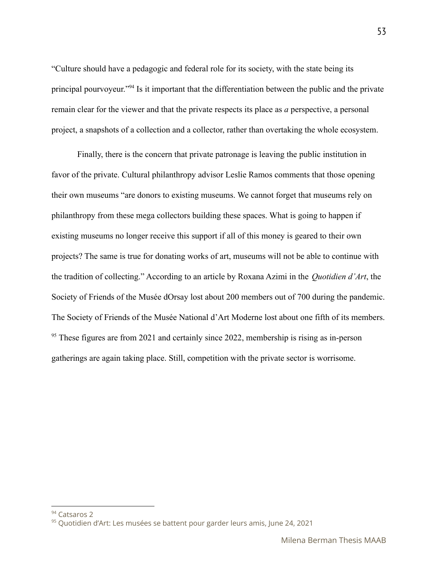"Culture should have a pedagogic and federal role for its society, with the state being its principal pourvoyeur."<sup>94</sup> Is it important that the differentiation between the public and the private remain clear for the viewer and that the private respects its place as *a* perspective, a personal project, a snapshots of a collection and a collector, rather than overtaking the whole ecosystem.

Finally, there is the concern that private patronage is leaving the public institution in favor of the private. Cultural philanthropy advisor Leslie Ramos comments that those opening their own museums "are donors to existing museums. We cannot forget that museums rely on philanthropy from these mega collectors building these spaces. What is going to happen if existing museums no longer receive this support if all of this money is geared to their own projects? The same is true for donating works of art, museums will not be able to continue with the tradition of collecting." According to an article by Roxana Azimi in the *Quotidien d'Art*, the Society of Friends of the Musée dOrsay lost about 200 members out of 700 during the pandemic. The Society of Friends of the Musée National d'Art Moderne lost about one fifth of its members.  $95$  These figures are from 2021 and certainly since 2022, membership is rising as in-person gatherings are again taking place. Still, competition with the private sector is worrisome.

<sup>&</sup>lt;sup>94</sup> Catsaros 2

<sup>95</sup> Quotidien d'Art: Les musées se battent pour garder leurs amis, June 24, 2021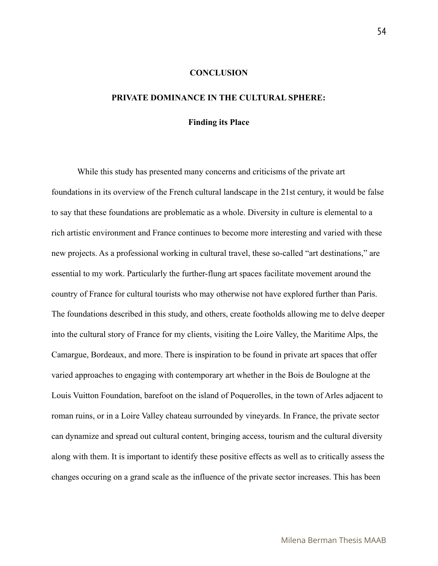#### **CONCLUSION**

#### **PRIVATE DOMINANCE IN THE CULTURAL SPHERE:**

#### **Finding its Place**

While this study has presented many concerns and criticisms of the private art foundations in its overview of the French cultural landscape in the 21st century, it would be false to say that these foundations are problematic as a whole. Diversity in culture is elemental to a rich artistic environment and France continues to become more interesting and varied with these new projects. As a professional working in cultural travel, these so-called "art destinations," are essential to my work. Particularly the further-flung art spaces facilitate movement around the country of France for cultural tourists who may otherwise not have explored further than Paris. The foundations described in this study, and others, create footholds allowing me to delve deeper into the cultural story of France for my clients, visiting the Loire Valley, the Maritime Alps, the Camargue, Bordeaux, and more. There is inspiration to be found in private art spaces that offer varied approaches to engaging with contemporary art whether in the Bois de Boulogne at the Louis Vuitton Foundation, barefoot on the island of Poquerolles, in the town of Arles adjacent to roman ruins, or in a Loire Valley chateau surrounded by vineyards. In France, the private sector can dynamize and spread out cultural content, bringing access, tourism and the cultural diversity along with them. It is important to identify these positive effects as well as to critically assess the changes occuring on a grand scale as the influence of the private sector increases. This has been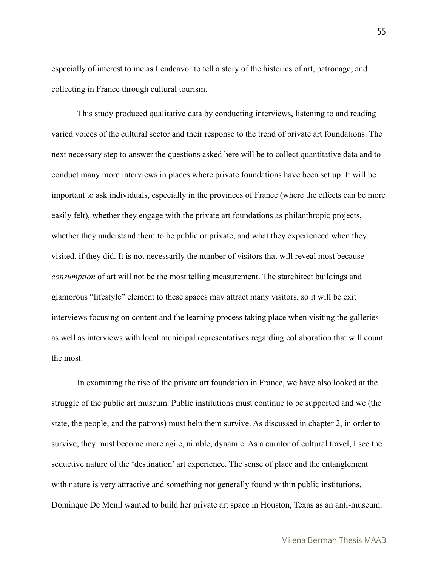especially of interest to me as I endeavor to tell a story of the histories of art, patronage, and collecting in France through cultural tourism.

This study produced qualitative data by conducting interviews, listening to and reading varied voices of the cultural sector and their response to the trend of private art foundations. The next necessary step to answer the questions asked here will be to collect quantitative data and to conduct many more interviews in places where private foundations have been set up. It will be important to ask individuals, especially in the provinces of France (where the effects can be more easily felt), whether they engage with the private art foundations as philanthropic projects, whether they understand them to be public or private, and what they experienced when they visited, if they did. It is not necessarily the number of visitors that will reveal most because *consumption* of art will not be the most telling measurement. The starchitect buildings and glamorous "lifestyle" element to these spaces may attract many visitors, so it will be exit interviews focusing on content and the learning process taking place when visiting the galleries as well as interviews with local municipal representatives regarding collaboration that will count the most.

In examining the rise of the private art foundation in France, we have also looked at the struggle of the public art museum. Public institutions must continue to be supported and we (the state, the people, and the patrons) must help them survive. As discussed in chapter 2, in order to survive, they must become more agile, nimble, dynamic. As a curator of cultural travel, I see the seductive nature of the 'destination' art experience. The sense of place and the entanglement with nature is very attractive and something not generally found within public institutions. Dominque De Menil wanted to build her private art space in Houston, Texas as an anti-museum.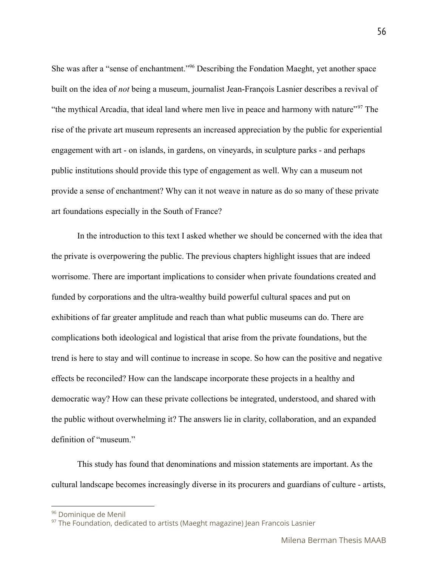She was after a "sense of enchantment."<sup>96</sup> Describing the Fondation Maeght, yet another space built on the idea of *not* being a museum, journalist Jean-François Lasnier describes a revival of "the mythical Arcadia, that ideal land where men live in peace and harmony with nature"<sup>97</sup> The rise of the private art museum represents an increased appreciation by the public for experiential engagement with art - on islands, in gardens, on vineyards, in sculpture parks - and perhaps public institutions should provide this type of engagement as well. Why can a museum not provide a sense of enchantment? Why can it not weave in nature as do so many of these private art foundations especially in the South of France?

In the introduction to this text I asked whether we should be concerned with the idea that the private is overpowering the public. The previous chapters highlight issues that are indeed worrisome. There are important implications to consider when private foundations created and funded by corporations and the ultra-wealthy build powerful cultural spaces and put on exhibitions of far greater amplitude and reach than what public museums can do. There are complications both ideological and logistical that arise from the private foundations, but the trend is here to stay and will continue to increase in scope. So how can the positive and negative effects be reconciled? How can the landscape incorporate these projects in a healthy and democratic way? How can these private collections be integrated, understood, and shared with the public without overwhelming it? The answers lie in clarity, collaboration, and an expanded definition of "museum."

This study has found that denominations and mission statements are important. As the cultural landscape becomes increasingly diverse in its procurers and guardians of culture - artists,

<sup>96</sup> Dominique de Menil

<sup>&</sup>lt;sup>97</sup> The Foundation, dedicated to artists (Maeght magazine) Jean Francois Lasnier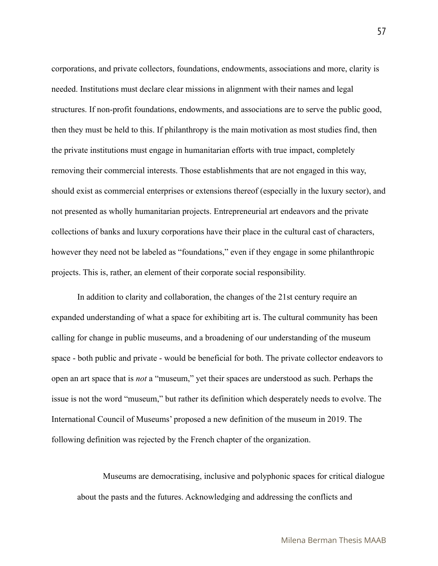corporations, and private collectors, foundations, endowments, associations and more, clarity is needed. Institutions must declare clear missions in alignment with their names and legal structures. If non-profit foundations, endowments, and associations are to serve the public good, then they must be held to this. If philanthropy is the main motivation as most studies find, then the private institutions must engage in humanitarian efforts with true impact, completely removing their commercial interests. Those establishments that are not engaged in this way, should exist as commercial enterprises or extensions thereof (especially in the luxury sector), and not presented as wholly humanitarian projects. Entrepreneurial art endeavors and the private collections of banks and luxury corporations have their place in the cultural cast of characters, however they need not be labeled as "foundations," even if they engage in some philanthropic projects. This is, rather, an element of their corporate social responsibility.

In addition to clarity and collaboration, the changes of the 21st century require an expanded understanding of what a space for exhibiting art is. The cultural community has been calling for change in public museums, and a broadening of our understanding of the museum space - both public and private - would be beneficial for both. The private collector endeavors to open an art space that is *not* a "museum," yet their spaces are understood as such. Perhaps the issue is not the word "museum," but rather its definition which desperately needs to evolve. The International Council of Museums' proposed a new definition of the museum in 2019. The following definition was rejected by the French chapter of the organization.

Museums are democratising, inclusive and polyphonic spaces for critical dialogue about the pasts and the futures. Acknowledging and addressing the conflicts and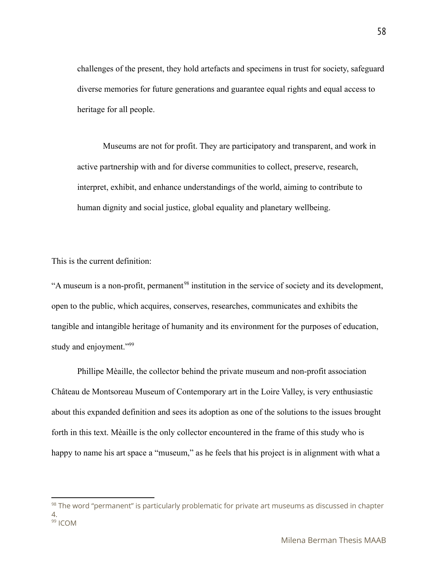challenges of the present, they hold artefacts and specimens in trust for society, safeguard diverse memories for future generations and guarantee equal rights and equal access to heritage for all people.

Museums are not for profit. They are participatory and transparent, and work in active partnership with and for diverse communities to collect, preserve, research, interpret, exhibit, and enhance understandings of the world, aiming to contribute to human dignity and social justice, global equality and planetary wellbeing.

This is the current definition:

"A museum is a non-profit, permanent<sup>98</sup> institution in the service of society and its development, open to the public, which acquires, conserves, researches, communicates and exhibits the tangible and intangible heritage of humanity and its environment for the purposes of education, study and enjoyment."<sup>99</sup>

Phillipe Mèaille, the collector behind the private museum and non-profit association Château de Montsoreau Museum of Contemporary art in the Loire Valley, is very enthusiastic about this expanded definition and sees its adoption as one of the solutions to the issues brought forth in this text. Mèaille is the only collector encountered in the frame of this study who is happy to name his art space a "museum," as he feels that his project is in alignment with what a

<sup>&</sup>lt;sup>99</sup> ICOM 98 The word "permanent" is particularly problematic for private art museums as discussed in chapter 4.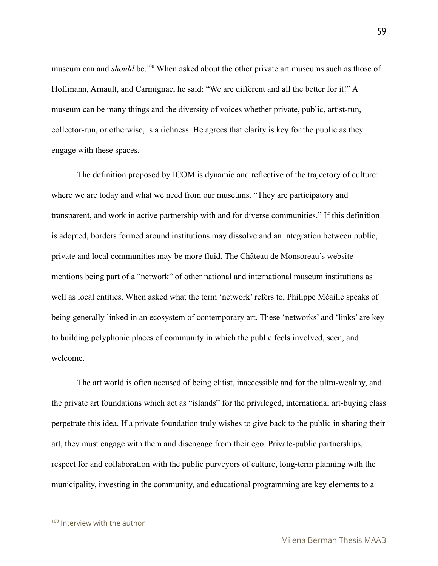museum can and *should* be.<sup>100</sup> When asked about the other private art museums such as those of Hoffmann, Arnault, and Carmignac, he said: "We are different and all the better for it!" A museum can be many things and the diversity of voices whether private, public, artist-run, collector-run, or otherwise, is a richness. He agrees that clarity is key for the public as they engage with these spaces.

The definition proposed by ICOM is dynamic and reflective of the trajectory of culture: where we are today and what we need from our museums. "They are participatory and transparent, and work in active partnership with and for diverse communities." If this definition is adopted, borders formed around institutions may dissolve and an integration between public, private and local communities may be more fluid. The Château de Monsoreau's website mentions being part of a "network" of other national and international museum institutions as well as local entities. When asked what the term 'network' refers to, Philippe Mèaille speaks of being generally linked in an ecosystem of contemporary art. These 'networks' and 'links' are key to building polyphonic places of community in which the public feels involved, seen, and welcome.

The art world is often accused of being elitist, inaccessible and for the ultra-wealthy, and the private art foundations which act as "islands" for the privileged, international art-buying class perpetrate this idea. If a private foundation truly wishes to give back to the public in sharing their art, they must engage with them and disengage from their ego. Private-public partnerships, respect for and collaboration with the public purveyors of culture, long-term planning with the municipality, investing in the community, and educational programming are key elements to a

<sup>&</sup>lt;sup>100</sup> Interview with the author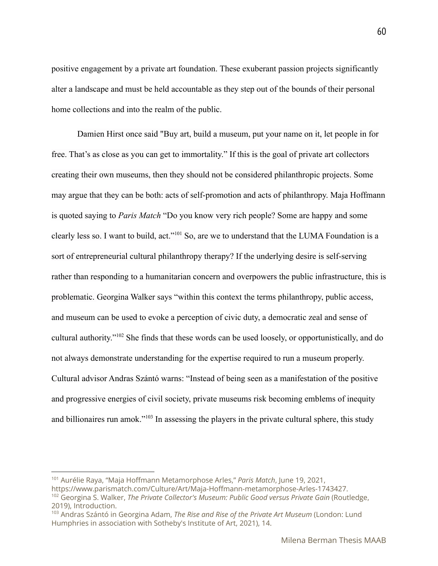positive engagement by a private art foundation. These exuberant passion projects significantly alter a landscape and must be held accountable as they step out of the bounds of their personal home collections and into the realm of the public.

Damien Hirst once said "Buy art, build a museum, put your name on it, let people in for free. That's as close as you can get to immortality." If this is the goal of private art collectors creating their own museums, then they should not be considered philanthropic projects. Some may argue that they can be both: acts of self-promotion and acts of philanthropy. Maja Hoffmann is quoted saying to *Paris Match* "Do you know very rich people? Some are happy and some clearly less so. I want to build, act."<sup>101</sup> So, are we to understand that the LUMA Foundation is a sort of entrepreneurial cultural philanthropy therapy? If the underlying desire is self-serving rather than responding to a humanitarian concern and overpowers the public infrastructure, this is problematic. Georgina Walker says "within this context the terms philanthropy, public access, and museum can be used to evoke a perception of civic duty, a democratic zeal and sense of cultural authority."<sup>102</sup> She finds that these words can be used loosely, or opportunistically, and do not always demonstrate understanding for the expertise required to run a museum properly. Cultural advisor Andras Szántó warns: "Instead of being seen as a manifestation of the positive and progressive energies of civil society, private museums risk becoming emblems of inequity and billionaires run amok."<sup>103</sup> In assessing the players in the private cultural sphere, this study

<sup>101</sup> Aurélie Raya, "Maja Hoffmann Metamorphose Arles," *Paris Match*, June 19, 2021, https://www.parismatch.com/Culture/Art/Maja-Hoffmann-metamorphose-Arles-1743427.

<sup>102</sup> Georgina S. Walker, *The Private Collector's Museum: Public Good versus Private Gain* (Routledge, 2019), Introduction.

<sup>103</sup> Andras Szántó in Georgina Adam, *The Rise and Rise of the Private Art Museum* (London: Lund Humphries in association with Sotheby's Institute of Art, 2021), 14.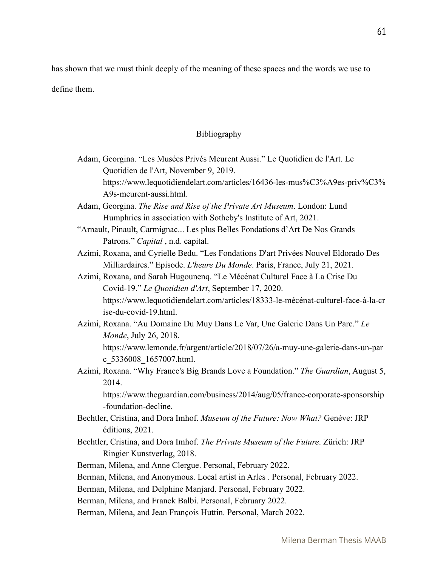has shown that we must think deeply of the meaning of these spaces and the words we use to

define them.

### Bibliography

| Adam, Georgina. "Les Musées Privés Meurent Aussi." Le Quotidien de l'Art. Le |
|------------------------------------------------------------------------------|
| Quotidien de l'Art, November 9, 2019.                                        |
| https://www.lequotidiendelart.com/articles/16436-les-mus%C3%A9es-priv%C3%    |
| A9s-meurent-aussi.html.                                                      |

Adam, Georgina. *The Rise and Rise of the Private Art Museum*. London: Lund Humphries in association with Sotheby's Institute of Art, 2021.

- "Arnault, Pinault, Carmignac... Les plus Belles Fondations d'Art De Nos Grands Patrons." *Capital* , n.d. capital.
- Azimi, Roxana, and Cyrielle Bedu. "Les Fondations D'art Privées Nouvel Eldorado Des Milliardaires." Episode. *L'heure Du Monde*. Paris, France, July 21, 2021.

Azimi, Roxana, and Sarah Hugounenq. "Le Mécénat Culturel Face à La Crise Du Covid-19." *Le Quotidien d'Art*, September 17, 2020. https://www.lequotidiendelart.com/articles/18333-le-mécénat-culturel-face-à-la-cr ise-du-covid-19.html.

Azimi, Roxana. "Au Domaine Du Muy Dans Le Var, Une Galerie Dans Un Parc." *Le Monde*, July 26, 2018. https://www.lemonde.fr/argent/article/2018/07/26/a-muy-une-galerie-dans-un-par c\_5336008\_1657007.html.

Azimi, Roxana. "Why France's Big Brands Love a Foundation." *The Guardian*, August 5, 2014.

https://www.theguardian.com/business/2014/aug/05/france-corporate-sponsorship -foundation-decline.

- Bechtler, Cristina, and Dora Imhof. *Museum of the Future: Now What?* Genève: JRP éditions, 2021.
- Bechtler, Cristina, and Dora Imhof. *The Private Museum of the Future*. Zürich: JRP Ringier Kunstverlag, 2018.

Berman, Milena, and Anne Clergue. Personal, February 2022.

Berman, Milena, and Anonymous. Local artist in Arles . Personal, February 2022.

Berman, Milena, and Delphine Manjard. Personal, February 2022.

Berman, Milena, and Franck Balbi. Personal, February 2022.

Berman, Milena, and Jean François Huttin. Personal, March 2022.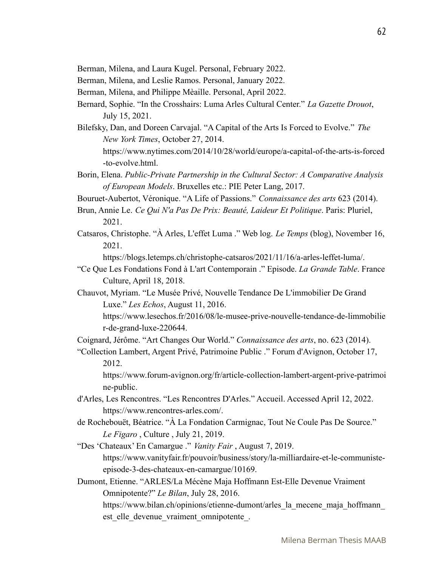- Berman, Milena, and Laura Kugel. Personal, February 2022.
- Berman, Milena, and Leslie Ramos. Personal, January 2022.
- Berman, Milena, and Philippe Mèaille. Personal, April 2022.
- Bernard, Sophie. "In the Crosshairs: Luma Arles Cultural Center." *La Gazette Drouot*, July 15, 2021.
- Bilefsky, Dan, and Doreen Carvajal. "A Capital of the Arts Is Forced to Evolve." *The New York Times*, October 27, 2014.
	- https://www.nytimes.com/2014/10/28/world/europe/a-capital-of-the-arts-is-forced -to-evolve.html.
- Borin, Elena. *Public-Private Partnership in the Cultural Sector: A Comparative Analysis of European Models*. Bruxelles etc.: PIE Peter Lang, 2017.
- Bouruet-Aubertot, Véronique. "A Life of Passions." *Connaissance des arts* 623 (2014).
- Brun, Annie Le. *Ce Qui N'a Pas De Prix: Beauté, Laideur Et Politique*. Paris: Pluriel, 2021.
- Catsaros, Christophe. "À Arles, L'effet Luma ." Web log. *Le Temps* (blog), November 16, 2021.

https://blogs.letemps.ch/christophe-catsaros/2021/11/16/a-arles-leffet-luma/.

- "Ce Que Les Fondations Fond à L'art Contemporain ." Episode. *La Grande Table*. France Culture, April 18, 2018.
- Chauvot, Myriam. "Le Musée Privé, Nouvelle Tendance De L'immobilier De Grand Luxe." *Les Echos*, August 11, 2016.

https://www.lesechos.fr/2016/08/le-musee-prive-nouvelle-tendance-de-limmobilie r-de-grand-luxe-220644.

Coignard, Jérôme. "Art Changes Our World." *Connaissance des arts*, no. 623 (2014).

"Collection Lambert, Argent Privé, Patrimoine Public ." Forum d'Avignon, October 17, 2012.

https://www.forum-avignon.org/fr/article-collection-lambert-argent-prive-patrimoi ne-public.

- d'Arles, Les Rencontres. "Les Rencontres D'Arles." Accueil. Accessed April 12, 2022. https://www.rencontres-arles.com/.
- de Rochebouët, Béatrice. "À La Fondation Carmignac, Tout Ne Coule Pas De Source." *Le Figaro* , Culture , July 21, 2019.
- "Des 'Chateaux' En Camargue ." *Vanity Fair* , August 7, 2019. https://www.vanityfair.fr/pouvoir/business/story/la-milliardaire-et-le-communisteepisode-3-des-chateaux-en-camargue/10169.
- Dumont, Etienne. "ARLES/La Mécène Maja Hoffmann Est-Elle Devenue Vraiment Omnipotente?" *Le Bilan*, July 28, 2016.

https://www.bilan.ch/opinions/etienne-dumont/arles\_la\_mecene\_maja\_hoffmann est elle devenue vraiment omnipotente.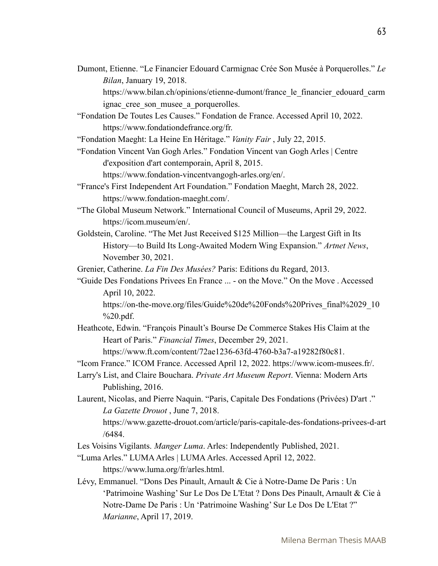Dumont, Etienne. "Le Financier Edouard Carmignac Crée Son Musée à Porquerolles." *Le Bilan*, January 19, 2018.

https://www.bilan.ch/opinions/etienne-dumont/france\_le\_financier\_edouard\_carm ignac cree son musee a porquerolles.

"Fondation De Toutes Les Causes." Fondation de France. Accessed April 10, 2022. https://www.fondationdefrance.org/fr.

"Fondation Maeght: La Heine En Héritage." *Vanity Fair* , July 22, 2015.

"Fondation Vincent Van Gogh Arles." Fondation Vincent van Gogh Arles | Centre d'exposition d'art contemporain, April 8, 2015.

https://www.fondation-vincentvangogh-arles.org/en/.

- "France's First Independent Art Foundation." Fondation Maeght, March 28, 2022. https://www.fondation-maeght.com/.
- "The Global Museum Network." International Council of Museums, April 29, 2022. https://icom.museum/en/.
- Goldstein, Caroline. "The Met Just Received \$125 Million—the Largest Gift in Its History—to Build Its Long-Awaited Modern Wing Expansion." *Artnet News*, November 30, 2021.

Grenier, Catherine. *La Fin Des Musées?* Paris: Editions du Regard, 2013.

"Guide Des Fondations Privees En France ... - on the Move." On the Move . Accessed April 10, 2022.

https://on-the-move.org/files/Guide%20de%20Fonds%20Prives\_final%2029\_10 %20.pdf.

Heathcote, Edwin. "François Pinault's Bourse De Commerce Stakes His Claim at the Heart of Paris." *Financial Times*, December 29, 2021.

https://www.ft.com/content/72ae1236-63fd-4760-b3a7-a19282f80c81.

"Icom France." ICOM France. Accessed April 12, 2022. https://www.icom-musees.fr/.

Larry's List, and Claire Bouchara. *Private Art Museum Report*. Vienna: Modern Arts Publishing, 2016.

Laurent, Nicolas, and Pierre Naquin. "Paris, Capitale Des Fondations (Privées) D'art ." *La Gazette Drouot* , June 7, 2018.

https://www.gazette-drouot.com/article/paris-capitale-des-fondations-privees-d-art /6484.

Les Voisins Vigilants. *Manger Luma*. Arles: Independently Published, 2021.

- "Luma Arles." LUMAArles | LUMAArles. Accessed April 12, 2022. https://www.luma.org/fr/arles.html.
- Lévy, Emmanuel. "Dons Des Pinault, Arnault & Cie à Notre-Dame De Paris : Un 'Patrimoine Washing' Sur Le Dos De L'Etat ? Dons Des Pinault, Arnault & Cie à Notre-Dame De Paris : Un 'Patrimoine Washing' Sur Le Dos De L'Etat ?" *Marianne*, April 17, 2019.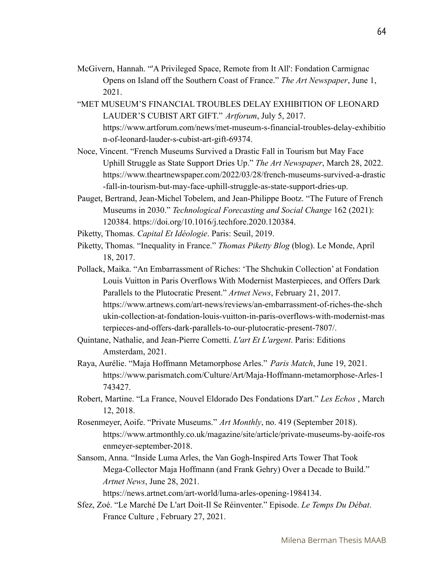- McGivern, Hannah. "'A Privileged Space, Remote from It All': Fondation Carmignac Opens on Island off the Southern Coast of France." *The Art Newspaper*, June 1, 2021.
- "MET MUSEUM'S FINANCIAL TROUBLES DELAY EXHIBITION OF LEONARD LAUDER'S CUBIST ART GIFT." *Artforum*, July 5, 2017. https://www.artforum.com/news/met-museum-s-financial-troubles-delay-exhibitio n-of-leonard-lauder-s-cubist-art-gift-69374.
- Noce, Vincent. "French Museums Survived a Drastic Fall in Tourism but May Face Uphill Struggle as State Support Dries Up." *The Art Newspaper*, March 28, 2022. https://www.theartnewspaper.com/2022/03/28/french-museums-survived-a-drastic -fall-in-tourism-but-may-face-uphill-struggle-as-state-support-dries-up.
- Pauget, Bertrand, Jean-Michel Tobelem, and Jean-Philippe Bootz. "The Future of French Museums in 2030." *Technological Forecasting and Social Change* 162 (2021): 120384. https://doi.org/10.1016/j.techfore.2020.120384.
- Piketty, Thomas. *Capital Et Idéologie*. Paris: Seuil, 2019.
- Piketty, Thomas. "Inequality in France." *Thomas Piketty Blog* (blog). Le Monde, April 18, 2017.
- Pollack, Maika. "An Embarrassment of Riches: 'The Shchukin Collection' at Fondation Louis Vuitton in Paris Overflows With Modernist Masterpieces, and Offers Dark Parallels to the Plutocratic Present." *Artnet News*, February 21, 2017. https://www.artnews.com/art-news/reviews/an-embarrassment-of-riches-the-shch ukin-collection-at-fondation-louis-vuitton-in-paris-overflows-with-modernist-mas terpieces-and-offers-dark-parallels-to-our-plutocratic-present-7807/.
- Quintane, Nathalie, and Jean-Pierre Cometti. *L'art Et L'argent*. Paris: Editions Amsterdam, 2021.
- Raya, Aurélie. "Maja Hoffmann Metamorphose Arles." *Paris Match*, June 19, 2021. https://www.parismatch.com/Culture/Art/Maja-Hoffmann-metamorphose-Arles-1 743427.
- Robert, Martine. "La France, Nouvel Eldorado Des Fondations D'art." *Les Echos* , March 12, 2018.
- Rosenmeyer, Aoife. "Private Museums." *Art Monthly*, no. 419 (September 2018). https://www.artmonthly.co.uk/magazine/site/article/private-museums-by-aoife-ros enmeyer-september-2018.
- Sansom, Anna. "Inside Luma Arles, the Van Gogh-Inspired Arts Tower That Took Mega-Collector Maja Hoffmann (and Frank Gehry) Over a Decade to Build." *Artnet News*, June 28, 2021.
	- https://news.artnet.com/art-world/luma-arles-opening-1984134.
- Sfez, Zoé. "Le Marché De L'art Doit-Il Se Réinventer." Episode. *Le Temps Du Débat*. France Culture , February 27, 2021.